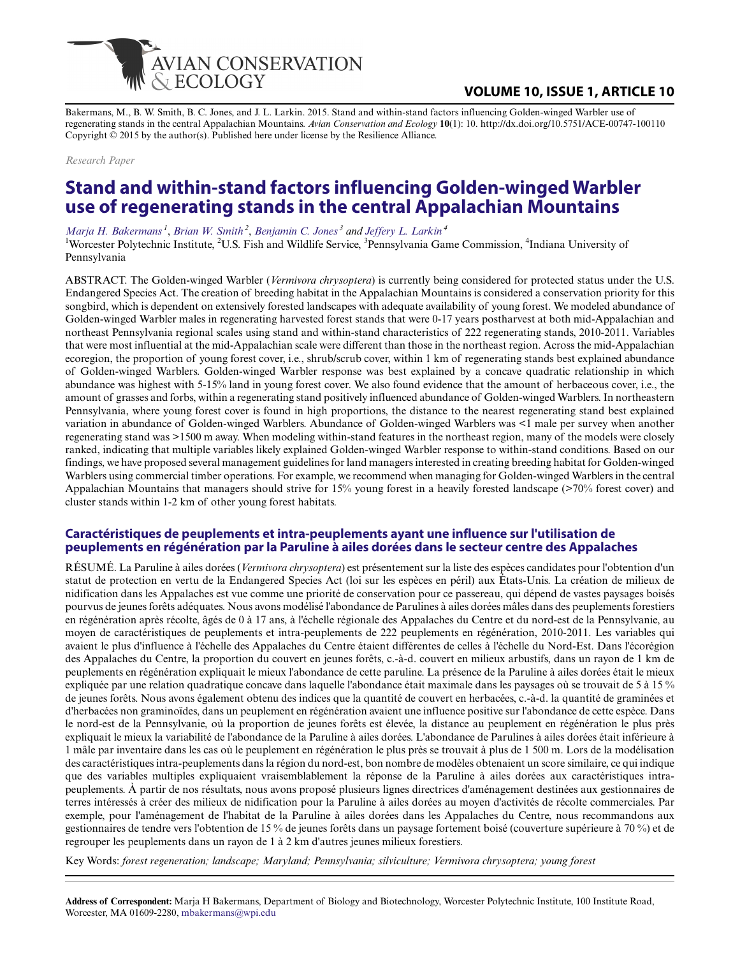

# **VOLUME 10, ISSUE 1, ARTICLE 10**

Bakermans, M., B. W. Smith, B. C. Jones, and J. L. Larkin. 2015. Stand and within-stand factors influencing Golden-winged Warbler use of regenerating stands in the central Appalachian Mountains. *Avian Conservation and Ecology* **10**(1): 10. http://dx.doi.org/10.5751/ACE-00747-100110 Copyright © 2015 by the author(s). Published here under license by the Resilience Alliance.

*Research Paper*

# **Stand and within-stand factors influencing Golden-winged Warbler use of regenerating stands in the central Appalachian Mountains**

*[Marja H. Bakermans](mailto:mbakermans@wpi.edu)<sup>1</sup>* , *[Brian W. Smith](mailto:brian_w_smith@fws.gov)<sup>2</sup>* , *[Benjamin C. Jones](mailto:benjjones@pa.gov)<sup>3</sup> and [Jeffery L. Larkin](mailto:larkin@iup.edu)<sup>4</sup>*

<sup>1</sup>Worcester Polytechnic Institute, <sup>2</sup>U.S. Fish and Wildlife Service, <sup>3</sup>Pennsylvania Game Commission, <sup>4</sup>Indiana University of Pennsylvania

ABSTRACT. The Golden-winged Warbler (*Vermivora chrysoptera*) is currently being considered for protected status under the U.S. Endangered Species Act. The creation of breeding habitat in the Appalachian Mountains is considered a conservation priority for this songbird, which is dependent on extensively forested landscapes with adequate availability of young forest. We modeled abundance of Golden-winged Warbler males in regenerating harvested forest stands that were 0-17 years postharvest at both mid-Appalachian and northeast Pennsylvania regional scales using stand and within-stand characteristics of 222 regenerating stands, 2010-2011. Variables that were most influential at the mid-Appalachian scale were different than those in the northeast region. Across the mid-Appalachian ecoregion, the proportion of young forest cover, i.e., shrub/scrub cover, within 1 km of regenerating stands best explained abundance of Golden-winged Warblers. Golden-winged Warbler response was best explained by a concave quadratic relationship in which abundance was highest with 5-15% land in young forest cover. We also found evidence that the amount of herbaceous cover, i.e., the amount of grasses and forbs, within a regenerating stand positively influenced abundance of Golden-winged Warblers. In northeastern Pennsylvania, where young forest cover is found in high proportions, the distance to the nearest regenerating stand best explained variation in abundance of Golden-winged Warblers. Abundance of Golden-winged Warblers was <1 male per survey when another regenerating stand was >1500 m away. When modeling within-stand features in the northeast region, many of the models were closely ranked, indicating that multiple variables likely explained Golden-winged Warbler response to within-stand conditions. Based on our findings, we have proposed several management guidelines for land managers interested in creating breeding habitat for Golden-winged Warblers using commercial timber operations. For example, we recommend when managing for Golden-winged Warblers in the central Appalachian Mountains that managers should strive for 15% young forest in a heavily forested landscape (>70% forest cover) and cluster stands within 1-2 km of other young forest habitats.

## **Caractéristiques de peuplements et intra-peuplements ayant une influence sur l'utilisation de peuplements en régénération par la Paruline à ailes dorées dans le secteur centre des Appalaches**

RÉSUMÉ. La Paruline à ailes dorées (*Vermivora chrysoptera*) est présentement sur la liste des espèces candidates pour l'obtention d'un statut de protection en vertu de la Endangered Species Act (loi sur les espèces en péril) aux États-Unis. La création de milieux de nidification dans les Appalaches est vue comme une priorité de conservation pour ce passereau, qui dépend de vastes paysages boisés pourvus de jeunes forêts adéquates. Nous avons modélisé l'abondance de Parulines à ailes dorées mâles dans des peuplements forestiers en régénération après récolte, âgés de 0 à 17 ans, à l'échelle régionale des Appalaches du Centre et du nord-est de la Pennsylvanie, au moyen de caractéristiques de peuplements et intra-peuplements de 222 peuplements en régénération, 2010-2011. Les variables qui avaient le plus d'influence à l'échelle des Appalaches du Centre étaient différentes de celles à l'échelle du Nord-Est. Dans l'écorégion des Appalaches du Centre, la proportion du couvert en jeunes forêts, c.-à-d. couvert en milieux arbustifs, dans un rayon de 1 km de peuplements en régénération expliquait le mieux l'abondance de cette paruline. La présence de la Paruline à ailes dorées était le mieux expliquée par une relation quadratique concave dans laquelle l'abondance était maximale dans les paysages où se trouvait de 5 à 15 % de jeunes forêts. Nous avons également obtenu des indices que la quantité de couvert en herbacées, c.-à-d. la quantité de graminées et d'herbacées non graminoïdes, dans un peuplement en régénération avaient une influence positive sur l'abondance de cette espèce. Dans le nord-est de la Pennsylvanie, où la proportion de jeunes forêts est élevée, la distance au peuplement en régénération le plus près expliquait le mieux la variabilité de l'abondance de la Paruline à ailes dorées. L'abondance de Parulines à ailes dorées était inférieure à 1 mâle par inventaire dans les cas où le peuplement en régénération le plus près se trouvait à plus de 1 500 m. Lors de la modélisation des caractéristiques intra-peuplements dans la région du nord-est, bon nombre de modèles obtenaient un score similaire, ce qui indique que des variables multiples expliquaient vraisemblablement la réponse de la Paruline à ailes dorées aux caractéristiques intrapeuplements. À partir de nos résultats, nous avons proposé plusieurs lignes directrices d'aménagement destinées aux gestionnaires de terres intéressés à créer des milieux de nidification pour la Paruline à ailes dorées au moyen d'activités de récolte commerciales. Par exemple, pour l'aménagement de l'habitat de la Paruline à ailes dorées dans les Appalaches du Centre, nous recommandons aux gestionnaires de tendre vers l'obtention de 15 % de jeunes forêts dans un paysage fortement boisé (couverture supérieure à 70 %) et de regrouper les peuplements dans un rayon de 1 à 2 km d'autres jeunes milieux forestiers.

Key Words: *forest regeneration; landscape; Maryland; Pennsylvania; silviculture; Vermivora chrysoptera; young forest*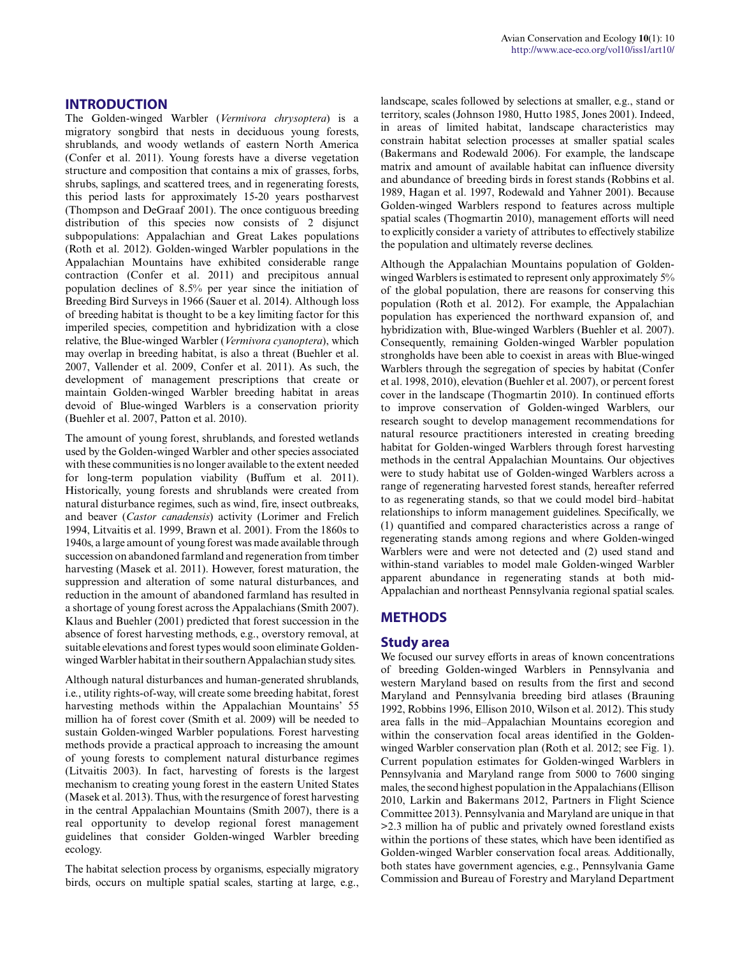# **INTRODUCTION**

The Golden-winged Warbler (*Vermivora chrysoptera*) is a migratory songbird that nests in deciduous young forests, shrublands, and woody wetlands of eastern North America (Confer et al. 2011). Young forests have a diverse vegetation structure and composition that contains a mix of grasses, forbs, shrubs, saplings, and scattered trees, and in regenerating forests, this period lasts for approximately 15-20 years postharvest (Thompson and DeGraaf 2001). The once contiguous breeding distribution of this species now consists of 2 disjunct subpopulations: Appalachian and Great Lakes populations (Roth et al. 2012). Golden-winged Warbler populations in the Appalachian Mountains have exhibited considerable range contraction (Confer et al. 2011) and precipitous annual population declines of 8.5% per year since the initiation of Breeding Bird Surveys in 1966 (Sauer et al. 2014). Although loss of breeding habitat is thought to be a key limiting factor for this imperiled species, competition and hybridization with a close relative, the Blue-winged Warbler (*Vermivora cyanoptera*), which may overlap in breeding habitat, is also a threat (Buehler et al. 2007, Vallender et al. 2009, Confer et al. 2011). As such, the development of management prescriptions that create or maintain Golden-winged Warbler breeding habitat in areas devoid of Blue-winged Warblers is a conservation priority (Buehler et al. 2007, Patton et al. 2010).

The amount of young forest, shrublands, and forested wetlands used by the Golden-winged Warbler and other species associated with these communities is no longer available to the extent needed for long-term population viability (Buffum et al. 2011). Historically, young forests and shrublands were created from natural disturbance regimes, such as wind, fire, insect outbreaks, and beaver (*Castor canadensis*) activity (Lorimer and Frelich 1994, Litvaitis et al. 1999, Brawn et al. 2001). From the 1860s to 1940s, a large amount of young forest was made available through succession on abandoned farmland and regeneration from timber harvesting (Masek et al. 2011). However, forest maturation, the suppression and alteration of some natural disturbances, and reduction in the amount of abandoned farmland has resulted in a shortage of young forest across the Appalachians (Smith 2007). Klaus and Buehler (2001) predicted that forest succession in the absence of forest harvesting methods, e.g., overstory removal, at suitable elevations and forest types would soon eliminate Goldenwinged Warbler habitat in their southern Appalachian study sites.

Although natural disturbances and human-generated shrublands, i.e., utility rights-of-way, will create some breeding habitat, forest harvesting methods within the Appalachian Mountains' 55 million ha of forest cover (Smith et al. 2009) will be needed to sustain Golden-winged Warbler populations. Forest harvesting methods provide a practical approach to increasing the amount of young forests to complement natural disturbance regimes (Litvaitis 2003). In fact, harvesting of forests is the largest mechanism to creating young forest in the eastern United States (Masek et al. 2013). Thus, with the resurgence of forest harvesting in the central Appalachian Mountains (Smith 2007), there is a real opportunity to develop regional forest management guidelines that consider Golden-winged Warbler breeding ecology.

The habitat selection process by organisms, especially migratory birds, occurs on multiple spatial scales, starting at large, e.g.,

landscape, scales followed by selections at smaller, e.g., stand or territory, scales (Johnson 1980, Hutto 1985, Jones 2001). Indeed, in areas of limited habitat, landscape characteristics may constrain habitat selection processes at smaller spatial scales (Bakermans and Rodewald 2006). For example, the landscape matrix and amount of available habitat can influence diversity and abundance of breeding birds in forest stands (Robbins et al. 1989, Hagan et al. 1997, Rodewald and Yahner 2001). Because Golden-winged Warblers respond to features across multiple spatial scales (Thogmartin 2010), management efforts will need to explicitly consider a variety of attributes to effectively stabilize the population and ultimately reverse declines.

Although the Appalachian Mountains population of Goldenwinged Warblers is estimated to represent only approximately 5% of the global population, there are reasons for conserving this population (Roth et al. 2012). For example, the Appalachian population has experienced the northward expansion of, and hybridization with, Blue-winged Warblers (Buehler et al. 2007). Consequently, remaining Golden-winged Warbler population strongholds have been able to coexist in areas with Blue-winged Warblers through the segregation of species by habitat (Confer et al. 1998, 2010), elevation (Buehler et al. 2007), or percent forest cover in the landscape (Thogmartin 2010). In continued efforts to improve conservation of Golden-winged Warblers, our research sought to develop management recommendations for natural resource practitioners interested in creating breeding habitat for Golden-winged Warblers through forest harvesting methods in the central Appalachian Mountains. Our objectives were to study habitat use of Golden-winged Warblers across a range of regenerating harvested forest stands, hereafter referred to as regenerating stands, so that we could model bird–habitat relationships to inform management guidelines. Specifically, we (1) quantified and compared characteristics across a range of regenerating stands among regions and where Golden-winged Warblers were and were not detected and (2) used stand and within-stand variables to model male Golden-winged Warbler apparent abundance in regenerating stands at both mid-Appalachian and northeast Pennsylvania regional spatial scales.

## **METHODS**

## **Study area**

We focused our survey efforts in areas of known concentrations of breeding Golden-winged Warblers in Pennsylvania and western Maryland based on results from the first and second Maryland and Pennsylvania breeding bird atlases (Brauning 1992, Robbins 1996, Ellison 2010, Wilson et al. 2012). This study area falls in the mid–Appalachian Mountains ecoregion and within the conservation focal areas identified in the Goldenwinged Warbler conservation plan (Roth et al. 2012; see Fig. 1). Current population estimates for Golden-winged Warblers in Pennsylvania and Maryland range from 5000 to 7600 singing males, the second highest population in the Appalachians (Ellison 2010, Larkin and Bakermans 2012, Partners in Flight Science Committee 2013). Pennsylvania and Maryland are unique in that >2.3 million ha of public and privately owned forestland exists within the portions of these states, which have been identified as Golden-winged Warbler conservation focal areas. Additionally, both states have government agencies, e.g., Pennsylvania Game Commission and Bureau of Forestry and Maryland Department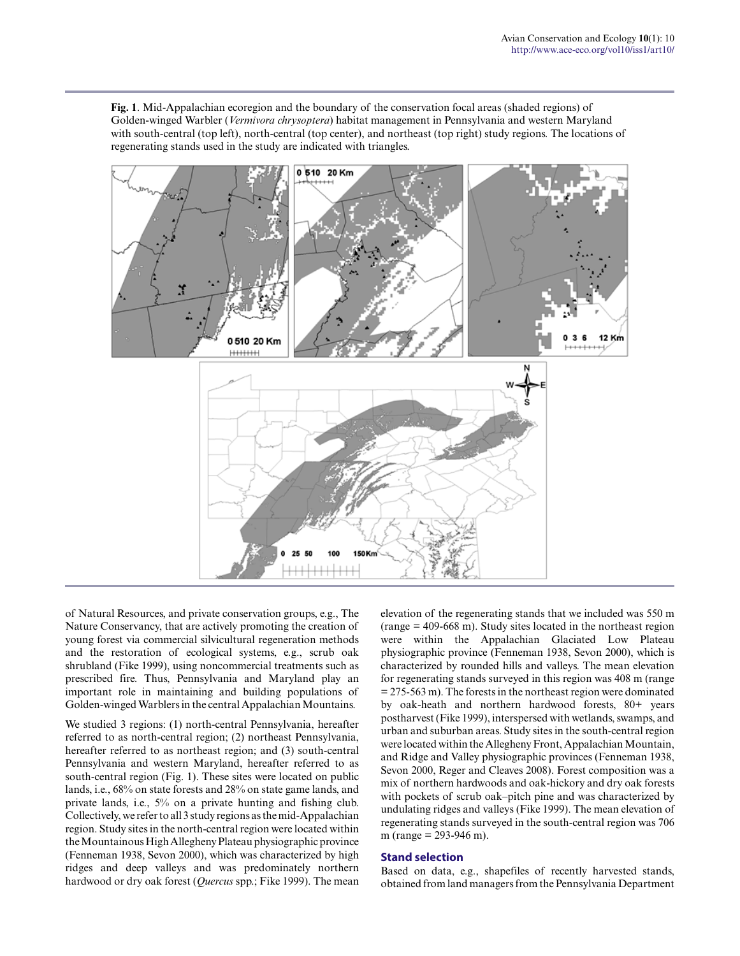**Fig. 1**. Mid-Appalachian ecoregion and the boundary of the conservation focal areas (shaded regions) of Golden-winged Warbler (*Vermivora chrysoptera*) habitat management in Pennsylvania and western Maryland with south-central (top left), north-central (top center), and northeast (top right) study regions. The locations of regenerating stands used in the study are indicated with triangles.



of Natural Resources, and private conservation groups, e.g., The Nature Conservancy, that are actively promoting the creation of young forest via commercial silvicultural regeneration methods and the restoration of ecological systems, e.g., scrub oak shrubland (Fike 1999), using noncommercial treatments such as prescribed fire. Thus, Pennsylvania and Maryland play an important role in maintaining and building populations of Golden-winged Warblers in the central Appalachian Mountains.

We studied 3 regions: (1) north-central Pennsylvania, hereafter referred to as north-central region; (2) northeast Pennsylvania, hereafter referred to as northeast region; and (3) south-central Pennsylvania and western Maryland, hereafter referred to as south-central region (Fig. 1). These sites were located on public lands, i.e., 68% on state forests and 28% on state game lands, and private lands, i.e., 5% on a private hunting and fishing club. Collectively, we refer to all 3 study regions as the mid-Appalachian region. Study sites in the north-central region were located within the Mountainous High Allegheny Plateau physiographic province (Fenneman 1938, Sevon 2000), which was characterized by high ridges and deep valleys and was predominately northern hardwood or dry oak forest (*Quercus* spp.; Fike 1999). The mean elevation of the regenerating stands that we included was 550 m (range = 409-668 m). Study sites located in the northeast region were within the Appalachian Glaciated Low Plateau physiographic province (Fenneman 1938, Sevon 2000), which is characterized by rounded hills and valleys. The mean elevation for regenerating stands surveyed in this region was 408 m (range  $= 275-563$  m). The forests in the northeast region were dominated by oak-heath and northern hardwood forests, 80+ years postharvest (Fike 1999), interspersed with wetlands, swamps, and urban and suburban areas. Study sites in the south-central region were located within the Allegheny Front, Appalachian Mountain, and Ridge and Valley physiographic provinces (Fenneman 1938, Sevon 2000, Reger and Cleaves 2008). Forest composition was a mix of northern hardwoods and oak-hickory and dry oak forests with pockets of scrub oak–pitch pine and was characterized by undulating ridges and valleys (Fike 1999). The mean elevation of regenerating stands surveyed in the south-central region was 706 m (range = 293-946 m).

#### **Stand selection**

Based on data, e.g., shapefiles of recently harvested stands, obtained from land managers from the Pennsylvania Department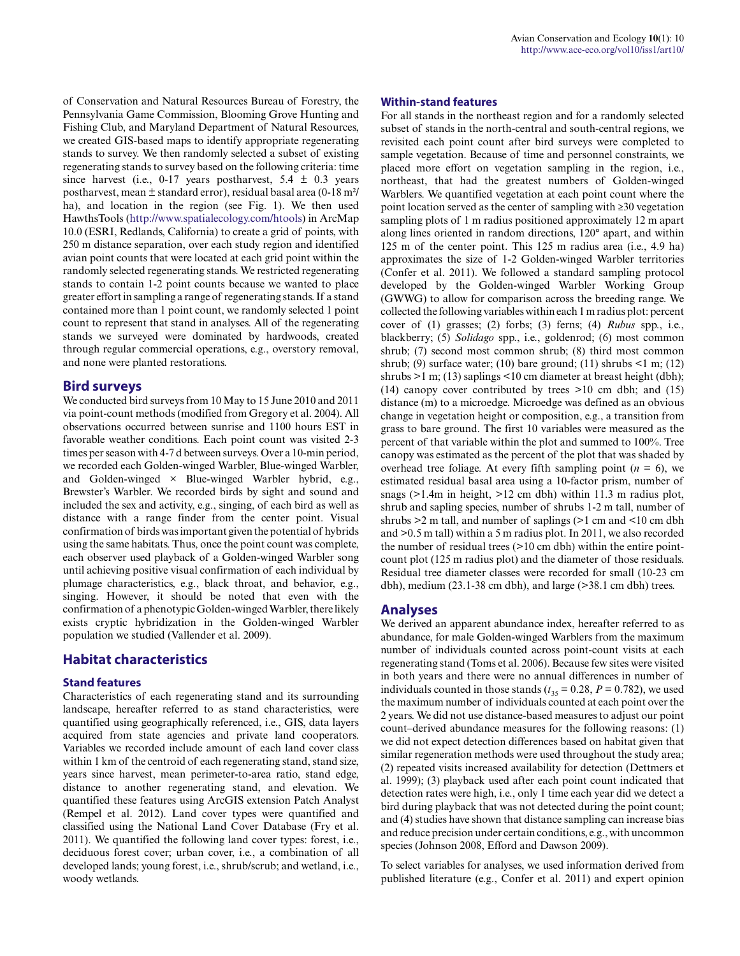of Conservation and Natural Resources Bureau of Forestry, the Pennsylvania Game Commission, Blooming Grove Hunting and Fishing Club, and Maryland Department of Natural Resources, we created GIS-based maps to identify appropriate regenerating stands to survey. We then randomly selected a subset of existing regenerating stands to survey based on the following criteria: time since harvest (i.e., 0-17 years postharvest,  $5.4 \pm 0.3$  years postharvest, mean ± standard error), residual basal area (0-18 m²/ ha), and location in the region (see Fig. 1). We then used HawthsTools [\(http://www.spatialecology.com/htools\)](http://www.spatialecology.com/htools) in ArcMap 10.0 (ESRI, Redlands, California) to create a grid of points, with 250 m distance separation, over each study region and identified avian point counts that were located at each grid point within the randomly selected regenerating stands. We restricted regenerating stands to contain 1-2 point counts because we wanted to place greater effort in sampling a range of regenerating stands. If a stand contained more than 1 point count, we randomly selected 1 point count to represent that stand in analyses. All of the regenerating stands we surveyed were dominated by hardwoods, created through regular commercial operations, e.g., overstory removal, and none were planted restorations.

### **Bird surveys**

We conducted bird surveys from 10 May to 15 June 2010 and 2011 via point-count methods (modified from Gregory et al. 2004). All observations occurred between sunrise and 1100 hours EST in favorable weather conditions. Each point count was visited 2-3 times per season with 4-7 d between surveys. Over a 10-min period, we recorded each Golden-winged Warbler, Blue-winged Warbler, and Golden-winged  $\times$  Blue-winged Warbler hybrid, e.g., Brewster's Warbler. We recorded birds by sight and sound and included the sex and activity, e.g., singing, of each bird as well as distance with a range finder from the center point. Visual confirmation of birds was important given the potential of hybrids using the same habitats. Thus, once the point count was complete, each observer used playback of a Golden-winged Warbler song until achieving positive visual confirmation of each individual by plumage characteristics, e.g., black throat, and behavior, e.g., singing. However, it should be noted that even with the confirmation of a phenotypic Golden-winged Warbler, there likely exists cryptic hybridization in the Golden-winged Warbler population we studied (Vallender et al. 2009).

### **Habitat characteristics**

#### **Stand features**

Characteristics of each regenerating stand and its surrounding landscape, hereafter referred to as stand characteristics, were quantified using geographically referenced, i.e., GIS, data layers acquired from state agencies and private land cooperators. Variables we recorded include amount of each land cover class within 1 km of the centroid of each regenerating stand, stand size, years since harvest, mean perimeter-to-area ratio, stand edge, distance to another regenerating stand, and elevation. We quantified these features using ArcGIS extension Patch Analyst (Rempel et al. 2012). Land cover types were quantified and classified using the National Land Cover Database (Fry et al. 2011). We quantified the following land cover types: forest, i.e., deciduous forest cover; urban cover, i.e., a combination of all developed lands; young forest, i.e., shrub/scrub; and wetland, i.e., woody wetlands.

#### **Within-stand features**

For all stands in the northeast region and for a randomly selected subset of stands in the north-central and south-central regions, we revisited each point count after bird surveys were completed to sample vegetation. Because of time and personnel constraints, we placed more effort on vegetation sampling in the region, i.e., northeast, that had the greatest numbers of Golden-winged Warblers. We quantified vegetation at each point count where the point location served as the center of sampling with ≥30 vegetation sampling plots of 1 m radius positioned approximately 12 m apart along lines oriented in random directions, 120° apart, and within 125 m of the center point. This 125 m radius area (i.e., 4.9 ha) approximates the size of 1-2 Golden-winged Warbler territories (Confer et al. 2011). We followed a standard sampling protocol developed by the Golden-winged Warbler Working Group (GWWG) to allow for comparison across the breeding range. We collected the following variables within each 1 m radius plot: percent cover of (1) grasses; (2) forbs; (3) ferns; (4) *Rubus* spp., i.e., blackberry; (5) *Solidago* spp., i.e., goldenrod; (6) most common shrub; (7) second most common shrub; (8) third most common shrub; (9) surface water; (10) bare ground; (11) shrubs  $\leq 1$  m; (12) shrubs >1 m; (13) saplings <10 cm diameter at breast height (dbh); (14) canopy cover contributed by trees >10 cm dbh; and (15) distance (m) to a microedge. Microedge was defined as an obvious change in vegetation height or composition, e.g., a transition from grass to bare ground. The first 10 variables were measured as the percent of that variable within the plot and summed to 100%. Tree canopy was estimated as the percent of the plot that was shaded by overhead tree foliage. At every fifth sampling point  $(n = 6)$ , we estimated residual basal area using a 10-factor prism, number of snags (>1.4m in height, >12 cm dbh) within 11.3 m radius plot, shrub and sapling species, number of shrubs 1-2 m tall, number of shrubs >2 m tall, and number of saplings (>1 cm and <10 cm dbh and >0.5 m tall) within a 5 m radius plot. In 2011, we also recorded the number of residual trees (>10 cm dbh) within the entire pointcount plot (125 m radius plot) and the diameter of those residuals. Residual tree diameter classes were recorded for small (10-23 cm dbh), medium (23.1-38 cm dbh), and large (>38.1 cm dbh) trees.

### **Analyses**

We derived an apparent abundance index, hereafter referred to as abundance, for male Golden-winged Warblers from the maximum number of individuals counted across point-count visits at each regenerating stand (Toms et al. 2006). Because few sites were visited in both years and there were no annual differences in number of individuals counted in those stands ( $t_{35} = 0.28$ ,  $P = 0.782$ ), we used the maximum number of individuals counted at each point over the 2 years. We did not use distance-based measures to adjust our point count–derived abundance measures for the following reasons: (1) we did not expect detection differences based on habitat given that similar regeneration methods were used throughout the study area; (2) repeated visits increased availability for detection (Dettmers et al. 1999); (3) playback used after each point count indicated that detection rates were high, i.e., only 1 time each year did we detect a bird during playback that was not detected during the point count; and (4) studies have shown that distance sampling can increase bias and reduce precision under certain conditions, e.g., with uncommon species (Johnson 2008, Efford and Dawson 2009).

To select variables for analyses, we used information derived from published literature (e.g., Confer et al. 2011) and expert opinion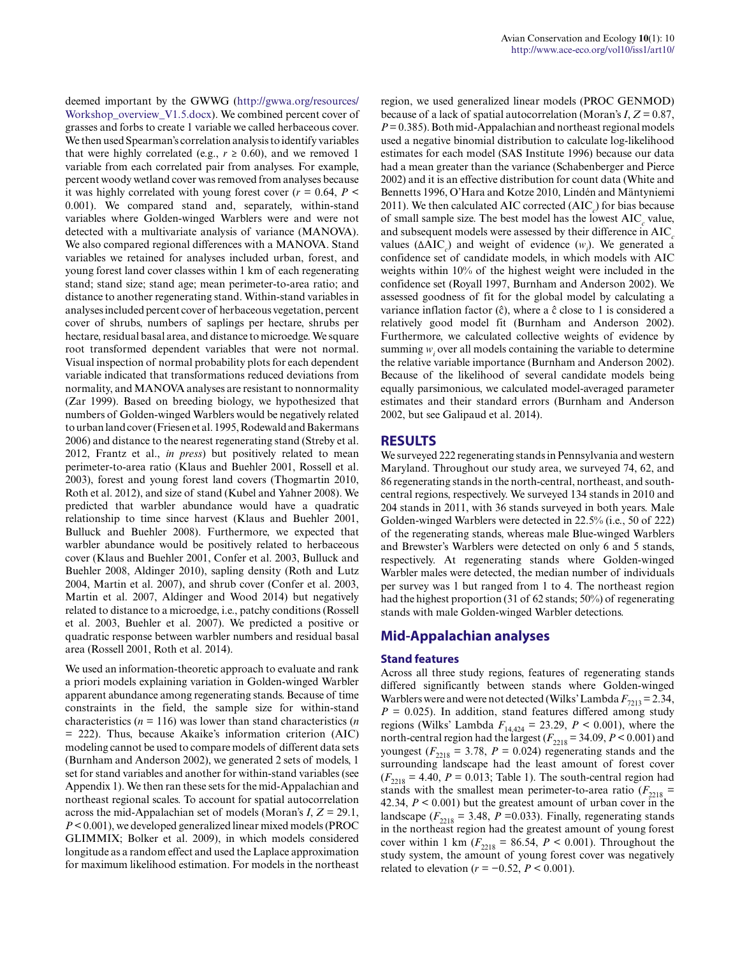deemed important by the GWWG [\(http://gwwa.org/resources/](http://gwwa.org/resources/Workshop_overview_V1.5.docx) [Workshop\\_overview\\_V1.5.docx\)](http://gwwa.org/resources/Workshop_overview_V1.5.docx). We combined percent cover of grasses and forbs to create 1 variable we called herbaceous cover. We then used Spearman's correlation analysis to identify variables that were highly correlated (e.g.,  $r \geq 0.60$ ), and we removed 1 variable from each correlated pair from analyses. For example, percent woody wetland cover was removed from analyses because it was highly correlated with young forest cover  $(r = 0.64, P <$ 0.001). We compared stand and, separately, within-stand variables where Golden-winged Warblers were and were not detected with a multivariate analysis of variance (MANOVA). We also compared regional differences with a MANOVA. Stand variables we retained for analyses included urban, forest, and young forest land cover classes within 1 km of each regenerating stand; stand size; stand age; mean perimeter-to-area ratio; and distance to another regenerating stand. Within-stand variables in analyses included percent cover of herbaceous vegetation, percent cover of shrubs, numbers of saplings per hectare, shrubs per hectare, residual basal area, and distance to microedge. We square root transformed dependent variables that were not normal. Visual inspection of normal probability plots for each dependent variable indicated that transformations reduced deviations from normality, and MANOVA analyses are resistant to nonnormality (Zar 1999). Based on breeding biology, we hypothesized that numbers of Golden-winged Warblers would be negatively related to urban land cover (Friesen et al. 1995, Rodewald and Bakermans 2006) and distance to the nearest regenerating stand (Streby et al. 2012, Frantz et al., *in press*) but positively related to mean perimeter-to-area ratio (Klaus and Buehler 2001, Rossell et al. 2003), forest and young forest land covers (Thogmartin 2010, Roth et al. 2012), and size of stand (Kubel and Yahner 2008). We predicted that warbler abundance would have a quadratic relationship to time since harvest (Klaus and Buehler 2001, Bulluck and Buehler 2008). Furthermore, we expected that warbler abundance would be positively related to herbaceous cover (Klaus and Buehler 2001, Confer et al. 2003, Bulluck and Buehler 2008, Aldinger 2010), sapling density (Roth and Lutz 2004, Martin et al. 2007), and shrub cover (Confer et al. 2003, Martin et al. 2007, Aldinger and Wood 2014) but negatively related to distance to a microedge, i.e., patchy conditions (Rossell et al. 2003, Buehler et al. 2007). We predicted a positive or quadratic response between warbler numbers and residual basal area (Rossell 2001, Roth et al. 2014).

We used an information-theoretic approach to evaluate and rank a priori models explaining variation in Golden-winged Warbler apparent abundance among regenerating stands. Because of time constraints in the field, the sample size for within-stand characteristics (*n* = 116) was lower than stand characteristics (*n* = 222). Thus, because Akaike's information criterion (AIC) modeling cannot be used to compare models of different data sets (Burnham and Anderson 2002), we generated 2 sets of models, 1 set for stand variables and another for within-stand variables (see Appendix 1). We then ran these sets for the mid-Appalachian and northeast regional scales. To account for spatial autocorrelation across the mid-Appalachian set of models (Moran's *I*, *Z* = 29.1, *P* < 0.001), we developed generalized linear mixed models (PROC GLIMMIX; Bolker et al. 2009), in which models considered longitude as a random effect and used the Laplace approximation for maximum likelihood estimation. For models in the northeast region, we used generalized linear models (PROC GENMOD) because of a lack of spatial autocorrelation (Moran's *I*, *Z* = 0.87,  $P = 0.385$ ). Both mid-Appalachian and northeast regional models used a negative binomial distribution to calculate log-likelihood estimates for each model (SAS Institute 1996) because our data had a mean greater than the variance (Schabenberger and Pierce 2002) and it is an effective distribution for count data (White and Bennetts 1996, O'Hara and Kotze 2010, Lindén and Mäntyniemi 2011). We then calculated AIC corrected (AIC<sub>c</sub>) for bias because of small sample size. The best model has the lowest  $AIC_c$  value, and subsequent models were assessed by their difference in AIC<sub>c</sub> values ( $\triangle AIC_c$ ) and weight of evidence ( $w_i$ ). We generated a confidence set of candidate models, in which models with AIC weights within 10% of the highest weight were included in the confidence set (Royall 1997, Burnham and Anderson 2002). We assessed goodness of fit for the global model by calculating a variance inflation factor (ĉ), where a ĉ close to 1 is considered a relatively good model fit (Burnham and Anderson 2002). Furthermore, we calculated collective weights of evidence by summing  $w_i$  over all models containing the variable to determine the relative variable importance (Burnham and Anderson 2002). Because of the likelihood of several candidate models being equally parsimonious, we calculated model-averaged parameter estimates and their standard errors (Burnham and Anderson 2002, but see Galipaud et al. 2014).

# **RESULTS**

We surveyed 222 regenerating stands in Pennsylvania and western Maryland. Throughout our study area, we surveyed 74, 62, and 86 regenerating stands in the north-central, northeast, and southcentral regions, respectively. We surveyed 134 stands in 2010 and 204 stands in 2011, with 36 stands surveyed in both years. Male Golden-winged Warblers were detected in 22.5% (i.e., 50 of 222) of the regenerating stands, whereas male Blue-winged Warblers and Brewster's Warblers were detected on only 6 and 5 stands, respectively. At regenerating stands where Golden-winged Warbler males were detected, the median number of individuals per survey was 1 but ranged from 1 to 4. The northeast region had the highest proportion (31 of 62 stands; 50%) of regenerating stands with male Golden-winged Warbler detections.

## **Mid-Appalachian analyses**

### **Stand features**

Across all three study regions, features of regenerating stands differed significantly between stands where Golden-winged Warblers were and were not detected (Wilks' Lambda  $F_{7213} = 2.34$ ,  $P = 0.025$ ). In addition, stand features differed among study regions (Wilks' Lambda  $F_{14,424} = 23.29, P \le 0.001$ ), where the north-central region had the largest  $(F_{2218} = 34.09, P \le 0.001)$  and youngest  $(F_{2218} = 3.78, P = 0.024)$  regenerating stands and the surrounding landscape had the least amount of forest cover  $(F_{2218} = 4.40, P = 0.013;$  Table 1). The south-central region had stands with the smallest mean perimeter-to-area ratio  $(F_{2218} =$ 42.34,  $P < 0.001$ ) but the greatest amount of urban cover in the landscape  $(F_{2218} = 3.48, P = 0.033)$ . Finally, regenerating stands in the northeast region had the greatest amount of young forest cover within 1 km ( $F_{2218} = 86.54$ ,  $P < 0.001$ ). Throughout the study system, the amount of young forest cover was negatively related to elevation ( $r = -0.52$ ,  $P < 0.001$ ).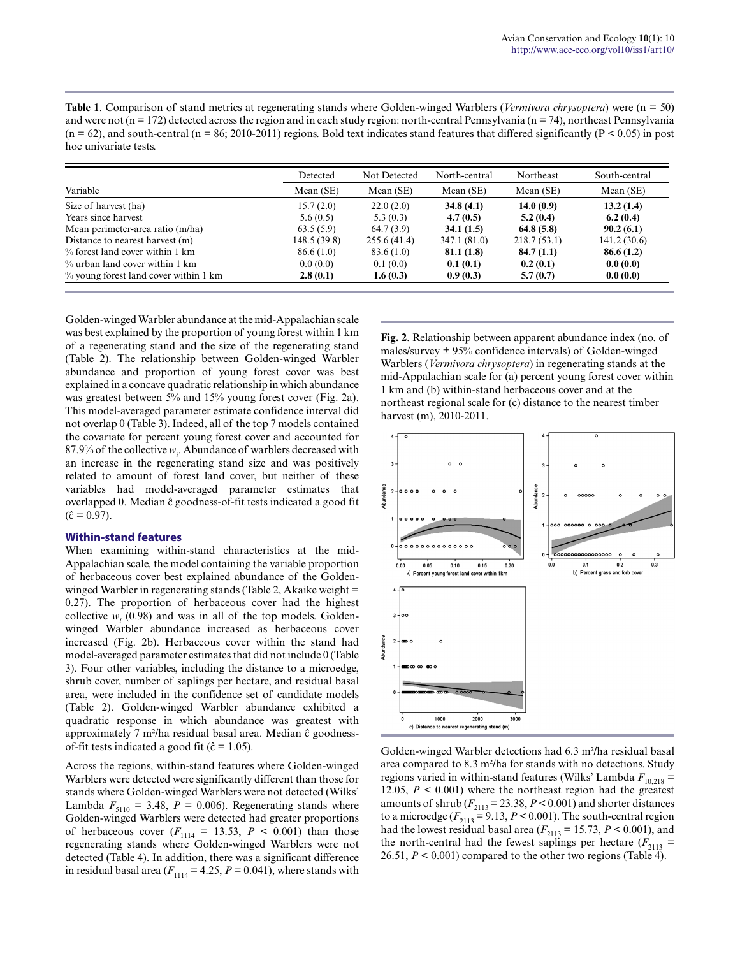| <b>Table 1.</b> Comparison of stand metrics at regenerating stands where Golden-winged Warblers (Vermivora chrysoptera) were $(n = 50)$           |
|---------------------------------------------------------------------------------------------------------------------------------------------------|
| and were not ( $n = 172$ ) detected across the region and in each study region: north-central Pennsylvania ( $n = 74$ ), northeast Pennsylvania   |
| $(n = 62)$ , and south-central $(n = 86; 2010-2011)$ regions. Bold text indicates stand features that differed significantly $(P < 0.05)$ in post |
| hoc univariate tests.                                                                                                                             |

|                                       | Detected    | Not Detected | North-central | Northeast   | South-central |
|---------------------------------------|-------------|--------------|---------------|-------------|---------------|
| Variable                              | Mean (SE)   | Mean (SE)    | Mean (SE)     | Mean (SE)   | Mean (SE)     |
| Size of harvest (ha)                  | 15.7(2.0)   | 22.0(2.0)    | 34.8(4.1)     | 14.0(0.9)   | 13.2(1.4)     |
| Years since harvest                   | 5.6(0.5)    | 5.3(0.3)     | 4.7(0.5)      | 5.2(0.4)    | 6.2(0.4)      |
| Mean perimeter-area ratio (m/ha)      | 63.5(5.9)   | 64.7 (3.9)   | 34.1(1.5)     | 64.8(5.8)   | 90.2(6.1)     |
| Distance to nearest harvest (m)       | 148.5(39.8) | 255.6(41.4)  | 347.1 (81.0)  | 218.7(53.1) | 141.2(30.6)   |
| $\%$ forest land cover within 1 km    | 86.6(1.0)   | 83.6(1.0)    | 81.1 (1.8)    | 84.7(1.1)   | 86.6(1.2)     |
| $%$ urban land cover within 1 km      | 0.0(0.0)    | 0.1(0.0)     | 0.1(0.1)      | 0.2(0.1)    | 0.0(0.0)      |
| % young forest land cover within 1 km | 2.8(0.1)    | 1.6(0.3)     | 0.9(0.3)      | 5.7(0.7)    | 0.0(0.0)      |

Golden-winged Warbler abundance at the mid-Appalachian scale was best explained by the proportion of young forest within 1 km of a regenerating stand and the size of the regenerating stand (Table 2). The relationship between Golden-winged Warbler abundance and proportion of young forest cover was best explained in a concave quadratic relationship in which abundance was greatest between 5% and 15% young forest cover (Fig. 2a). This model-averaged parameter estimate confidence interval did not overlap 0 (Table 3). Indeed, all of the top 7 models contained the covariate for percent young forest cover and accounted for 87.9% of the collective  $w_i$ . Abundance of warblers decreased with an increase in the regenerating stand size and was positively related to amount of forest land cover, but neither of these variables had model-averaged parameter estimates that overlapped 0. Median ĉ goodness-of-fit tests indicated a good fit  $(\hat{c} = 0.97)$ .

#### **Within-stand features**

When examining within-stand characteristics at the mid-Appalachian scale, the model containing the variable proportion of herbaceous cover best explained abundance of the Goldenwinged Warbler in regenerating stands (Table 2, Akaike weight = 0.27). The proportion of herbaceous cover had the highest collective  $w_i$  (0.98) and was in all of the top models. Goldenwinged Warbler abundance increased as herbaceous cover increased (Fig. 2b). Herbaceous cover within the stand had model-averaged parameter estimates that did not include 0 (Table 3). Four other variables, including the distance to a microedge, shrub cover, number of saplings per hectare, and residual basal area, were included in the confidence set of candidate models (Table 2). Golden-winged Warbler abundance exhibited a quadratic response in which abundance was greatest with approximately 7 m²/ha residual basal area. Median ĉ goodnessof-fit tests indicated a good fit ( $\hat{c} = 1.05$ ).

Across the regions, within-stand features where Golden-winged Warblers were detected were significantly different than those for stands where Golden-winged Warblers were not detected (Wilks' Lambda  $F_{5110} = 3.48$ ,  $P = 0.006$ ). Regenerating stands where Golden-winged Warblers were detected had greater proportions of herbaceous cover  $(F_{1114} = 13.53, P \le 0.001)$  than those regenerating stands where Golden-winged Warblers were not detected (Table 4). In addition, there was a significant difference in residual basal area  $(F_{1114} = 4.25, P = 0.041)$ , where stands with **Fig. 2**. Relationship between apparent abundance index (no. of males/survey  $\pm$  95% confidence intervals) of Golden-winged Warblers (*Vermivora chrysoptera*) in regenerating stands at the mid-Appalachian scale for (a) percent young forest cover within 1 km and (b) within-stand herbaceous cover and at the northeast regional scale for (c) distance to the nearest timber harvest (m), 2010-2011.



Golden-winged Warbler detections had 6.3 m²/ha residual basal area compared to 8.3 m²/ha for stands with no detections. Study regions varied in within-stand features (Wilks' Lambda  $F_{10,218}$  = 12.05,  $P < 0.001$ ) where the northeast region had the greatest amounts of shrub  $(F_{2113} = 23.38, P \le 0.001)$  and shorter distances to a microedge  $(F_{2113} = 9.13, P < 0.001)$ . The south-central region had the lowest residual basal area ( $F_{2113} = 15.73$ ,  $P < 0.001$ ), and the north-central had the fewest saplings per hectare  $(F_{2113} =$ 26.51,  $P < 0.001$ ) compared to the other two regions (Table 4).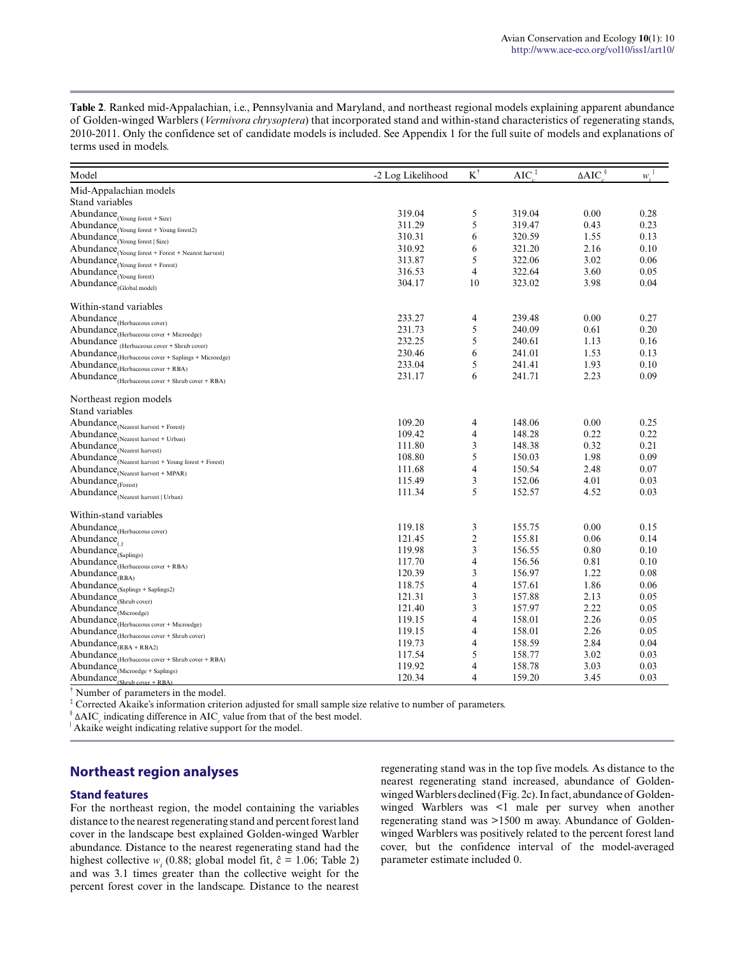**Table 2**. Ranked mid-Appalachian, i.e., Pennsylvania and Maryland, and northeast regional models explaining apparent abundance of Golden-winged Warblers (*Vermivora chrysoptera*) that incorporated stand and within-stand characteristics of regenerating stands, 2010-2011. Only the confidence set of candidate models is included. See Appendix 1 for the full suite of models and explanations of terms used in models.

| Mid-Appalachian models<br>Stand variables<br>5<br>319.04<br>0.00<br>$\rm Abundance_{(Young \, forest \, + \, Size)}$<br>319.04<br>0.28<br>5<br>$\rm Abundance_{(Young \, forest \, + \, Young \, forest2)}$<br>311.29<br>0.43<br>0.23<br>319.47<br>$\rm Abundance_{(Young \, forest \,   \, Size)}$<br>310.31<br>6<br>1.55<br>320.59<br>0.13<br>$\bold{Abundance}_{(Young \; forest \; + \; Forest \; + \; Nearest \; harvest)}$<br>6<br>2.16<br>310.92<br>321.20<br>0.10<br>5<br>$\rm Abundance_{(Young \, forest \, + \, Forest)}$<br>313.87<br>322.06<br>3.02<br>0.06<br>$\textbf{Abundance}^\textcolor{red}{\check{\text{}}}_{\text{(Young forest)}}$<br>$\overline{4}$<br>316.53<br>322.64<br>3.60<br>0.05<br>$\rm Abundance_{(Global\ model)}^{\rm i}$<br>10<br>3.98<br>0.04<br>304.17<br>323.02<br>Within-stand variables<br>$\rm Abundance_{(Herbaceous\ cover)}$<br>233.27<br>$\overline{\mathcal{A}}$<br>239.48<br>0.00<br>0.27<br>5<br>$\begin{array}{l} {\bf Abundance} \\ {\bf (Herbaceous\ cover\ +\ Microedge}) \end{array}$<br>231.73<br>240.09<br>0.61<br>0.20<br>$\begin{array}{c} {\bf Abundance} \\ {\bf (Herbaceous cover + Shrub cover)} \end{array}$<br>5<br>232.25<br>240.61<br>1.13<br>0.16<br>$\boldsymbol{A}\boldsymbol{b}\boldsymbol{u}\boldsymbol{n}\boldsymbol{d}\boldsymbol{a}\boldsymbol{n}\boldsymbol{c}\boldsymbol{e}_{(\text{Herbaccous cover + Saplings + Microedge)}$<br>6<br>230.46<br>241.01<br>1.53<br>0.13<br>5<br>$\begin{minipage}{.4\linewidth} Abundance (Herbaceous cover+RBA) \end{minipage}$<br>233.04<br>1.93<br>241.41<br>0.10<br>$\rm Abundance_{(Herbaceous\ cover\ +\ Shrub\ cover\ +\ RBA)}$<br>6<br>231.17<br>241.71<br>2.23<br>0.09<br>Northeast region models<br>Stand variables<br>$\rm Abundance_{(Nearest\; harvest\; + Forest)}$<br>109.20<br>$\overline{4}$<br>148.06<br>0.00<br>0.25<br>$\begin{array}{c} {\bf Abundance}_{\rm (Nearest\; harvest\;+\;Urban)} \end{array}$<br>$\overline{4}$<br>109.42<br>148.28<br>0.22<br>0.22<br>$\begin{minipage}{.4\linewidth} Abundance \\ (Nearest harvest) \end{minipage}$<br>3<br>111.80<br>148.38<br>0.32<br>0.21<br>5<br>$\bold{Abundance}_{(Nearest\; harvest\; +\;Young\; forest\; +\; Forest)}$<br>108.80<br>1.98<br>0.09<br>150.03<br>$\begin{array}{c} {\bf Abundance}^{\textcolor{red}{\downarrow}}_{\rm (Nearest\; harvest\;+ \; MPAR)} \end{array}$<br>$\overline{4}$<br>2.48<br>111.68<br>150.54<br>0.07<br>$\rm Abundance_{(Forest)}$<br>$\mathfrak{Z}$<br>115.49<br>152.06<br>4.01<br>0.03<br>5<br>$\textbf{Abundance}_{(\text{Nearest harvest}\, \,\text{Urban})}^{\textcolor{red}{\uparrow}}$<br>4.52<br>111.34<br>152.57<br>0.03<br>Within-stand variables<br>3<br>$\rm Abundance_{(Herbaceous\ cover)}$<br>119.18<br>155.75<br>0.00<br>0.15<br>$\sqrt{2}$<br>$\text{Abundance}_{(.)}$<br>0.06<br>121.45<br>155.81<br>0.14<br>$\rm Abundance_{(Saplings)}$<br>3<br>0.80<br>119.98<br>156.55<br>0.10<br>$\overline{\mathcal{L}}$<br>$\begin{array}{l} {\bf Abundance}_{\rm (Herbaceous\ cover\ +RBA)} \end{array}$<br>0.81<br>117.70<br>156.56<br>0.10<br>$\mathfrak{Z}$<br>$\rm Abundance_{(RBA)}$<br>1.22<br>120.39<br>156.97<br>0.08<br>$\begin{aligned} &\text{Abundance}^\cdot_{(Saplings + Saplings 2)} \end{aligned}$<br>$\overline{4}$<br>118.75<br>1.86<br>157.61<br>0.06<br>$\rm Abundance_{(Shrub\ cover)}$<br>$\mathfrak{Z}$<br>2.13<br>121.31<br>157.88<br>0.05 | Model                         | -2 Log Likelihood | $K^{\dagger}$ | $AIC^T$ | $\triangle AIC$ <sup>§</sup> | $w_i^{\perp}$ |
|-----------------------------------------------------------------------------------------------------------------------------------------------------------------------------------------------------------------------------------------------------------------------------------------------------------------------------------------------------------------------------------------------------------------------------------------------------------------------------------------------------------------------------------------------------------------------------------------------------------------------------------------------------------------------------------------------------------------------------------------------------------------------------------------------------------------------------------------------------------------------------------------------------------------------------------------------------------------------------------------------------------------------------------------------------------------------------------------------------------------------------------------------------------------------------------------------------------------------------------------------------------------------------------------------------------------------------------------------------------------------------------------------------------------------------------------------------------------------------------------------------------------------------------------------------------------------------------------------------------------------------------------------------------------------------------------------------------------------------------------------------------------------------------------------------------------------------------------------------------------------------------------------------------------------------------------------------------------------------------------------------------------------------------------------------------------------------------------------------------------------------------------------------------------------------------------------------------------------------------------------------------------------------------------------------------------------------------------------------------------------------------------------------------------------------------------------------------------------------------------------------------------------------------------------------------------------------------------------------------------------------------------------------------------------------------------------------------------------------------------------------------------------------------------------------------------------------------------------------------------------------------------------------------------------------------------------------------------------------------------------------------------------------------------------------------------------------------------------------------------------------------------------------------------------------------------------------------------------------------------------------------------------------------------------------------------------------------------------------------------------------------------------------|-------------------------------|-------------------|---------------|---------|------------------------------|---------------|
|                                                                                                                                                                                                                                                                                                                                                                                                                                                                                                                                                                                                                                                                                                                                                                                                                                                                                                                                                                                                                                                                                                                                                                                                                                                                                                                                                                                                                                                                                                                                                                                                                                                                                                                                                                                                                                                                                                                                                                                                                                                                                                                                                                                                                                                                                                                                                                                                                                                                                                                                                                                                                                                                                                                                                                                                                                                                                                                                                                                                                                                                                                                                                                                                                                                                                                                                                                                                     |                               |                   |               |         |                              |               |
|                                                                                                                                                                                                                                                                                                                                                                                                                                                                                                                                                                                                                                                                                                                                                                                                                                                                                                                                                                                                                                                                                                                                                                                                                                                                                                                                                                                                                                                                                                                                                                                                                                                                                                                                                                                                                                                                                                                                                                                                                                                                                                                                                                                                                                                                                                                                                                                                                                                                                                                                                                                                                                                                                                                                                                                                                                                                                                                                                                                                                                                                                                                                                                                                                                                                                                                                                                                                     |                               |                   |               |         |                              |               |
|                                                                                                                                                                                                                                                                                                                                                                                                                                                                                                                                                                                                                                                                                                                                                                                                                                                                                                                                                                                                                                                                                                                                                                                                                                                                                                                                                                                                                                                                                                                                                                                                                                                                                                                                                                                                                                                                                                                                                                                                                                                                                                                                                                                                                                                                                                                                                                                                                                                                                                                                                                                                                                                                                                                                                                                                                                                                                                                                                                                                                                                                                                                                                                                                                                                                                                                                                                                                     |                               |                   |               |         |                              |               |
|                                                                                                                                                                                                                                                                                                                                                                                                                                                                                                                                                                                                                                                                                                                                                                                                                                                                                                                                                                                                                                                                                                                                                                                                                                                                                                                                                                                                                                                                                                                                                                                                                                                                                                                                                                                                                                                                                                                                                                                                                                                                                                                                                                                                                                                                                                                                                                                                                                                                                                                                                                                                                                                                                                                                                                                                                                                                                                                                                                                                                                                                                                                                                                                                                                                                                                                                                                                                     |                               |                   |               |         |                              |               |
|                                                                                                                                                                                                                                                                                                                                                                                                                                                                                                                                                                                                                                                                                                                                                                                                                                                                                                                                                                                                                                                                                                                                                                                                                                                                                                                                                                                                                                                                                                                                                                                                                                                                                                                                                                                                                                                                                                                                                                                                                                                                                                                                                                                                                                                                                                                                                                                                                                                                                                                                                                                                                                                                                                                                                                                                                                                                                                                                                                                                                                                                                                                                                                                                                                                                                                                                                                                                     |                               |                   |               |         |                              |               |
|                                                                                                                                                                                                                                                                                                                                                                                                                                                                                                                                                                                                                                                                                                                                                                                                                                                                                                                                                                                                                                                                                                                                                                                                                                                                                                                                                                                                                                                                                                                                                                                                                                                                                                                                                                                                                                                                                                                                                                                                                                                                                                                                                                                                                                                                                                                                                                                                                                                                                                                                                                                                                                                                                                                                                                                                                                                                                                                                                                                                                                                                                                                                                                                                                                                                                                                                                                                                     |                               |                   |               |         |                              |               |
|                                                                                                                                                                                                                                                                                                                                                                                                                                                                                                                                                                                                                                                                                                                                                                                                                                                                                                                                                                                                                                                                                                                                                                                                                                                                                                                                                                                                                                                                                                                                                                                                                                                                                                                                                                                                                                                                                                                                                                                                                                                                                                                                                                                                                                                                                                                                                                                                                                                                                                                                                                                                                                                                                                                                                                                                                                                                                                                                                                                                                                                                                                                                                                                                                                                                                                                                                                                                     |                               |                   |               |         |                              |               |
|                                                                                                                                                                                                                                                                                                                                                                                                                                                                                                                                                                                                                                                                                                                                                                                                                                                                                                                                                                                                                                                                                                                                                                                                                                                                                                                                                                                                                                                                                                                                                                                                                                                                                                                                                                                                                                                                                                                                                                                                                                                                                                                                                                                                                                                                                                                                                                                                                                                                                                                                                                                                                                                                                                                                                                                                                                                                                                                                                                                                                                                                                                                                                                                                                                                                                                                                                                                                     |                               |                   |               |         |                              |               |
|                                                                                                                                                                                                                                                                                                                                                                                                                                                                                                                                                                                                                                                                                                                                                                                                                                                                                                                                                                                                                                                                                                                                                                                                                                                                                                                                                                                                                                                                                                                                                                                                                                                                                                                                                                                                                                                                                                                                                                                                                                                                                                                                                                                                                                                                                                                                                                                                                                                                                                                                                                                                                                                                                                                                                                                                                                                                                                                                                                                                                                                                                                                                                                                                                                                                                                                                                                                                     |                               |                   |               |         |                              |               |
|                                                                                                                                                                                                                                                                                                                                                                                                                                                                                                                                                                                                                                                                                                                                                                                                                                                                                                                                                                                                                                                                                                                                                                                                                                                                                                                                                                                                                                                                                                                                                                                                                                                                                                                                                                                                                                                                                                                                                                                                                                                                                                                                                                                                                                                                                                                                                                                                                                                                                                                                                                                                                                                                                                                                                                                                                                                                                                                                                                                                                                                                                                                                                                                                                                                                                                                                                                                                     |                               |                   |               |         |                              |               |
|                                                                                                                                                                                                                                                                                                                                                                                                                                                                                                                                                                                                                                                                                                                                                                                                                                                                                                                                                                                                                                                                                                                                                                                                                                                                                                                                                                                                                                                                                                                                                                                                                                                                                                                                                                                                                                                                                                                                                                                                                                                                                                                                                                                                                                                                                                                                                                                                                                                                                                                                                                                                                                                                                                                                                                                                                                                                                                                                                                                                                                                                                                                                                                                                                                                                                                                                                                                                     |                               |                   |               |         |                              |               |
|                                                                                                                                                                                                                                                                                                                                                                                                                                                                                                                                                                                                                                                                                                                                                                                                                                                                                                                                                                                                                                                                                                                                                                                                                                                                                                                                                                                                                                                                                                                                                                                                                                                                                                                                                                                                                                                                                                                                                                                                                                                                                                                                                                                                                                                                                                                                                                                                                                                                                                                                                                                                                                                                                                                                                                                                                                                                                                                                                                                                                                                                                                                                                                                                                                                                                                                                                                                                     |                               |                   |               |         |                              |               |
|                                                                                                                                                                                                                                                                                                                                                                                                                                                                                                                                                                                                                                                                                                                                                                                                                                                                                                                                                                                                                                                                                                                                                                                                                                                                                                                                                                                                                                                                                                                                                                                                                                                                                                                                                                                                                                                                                                                                                                                                                                                                                                                                                                                                                                                                                                                                                                                                                                                                                                                                                                                                                                                                                                                                                                                                                                                                                                                                                                                                                                                                                                                                                                                                                                                                                                                                                                                                     |                               |                   |               |         |                              |               |
|                                                                                                                                                                                                                                                                                                                                                                                                                                                                                                                                                                                                                                                                                                                                                                                                                                                                                                                                                                                                                                                                                                                                                                                                                                                                                                                                                                                                                                                                                                                                                                                                                                                                                                                                                                                                                                                                                                                                                                                                                                                                                                                                                                                                                                                                                                                                                                                                                                                                                                                                                                                                                                                                                                                                                                                                                                                                                                                                                                                                                                                                                                                                                                                                                                                                                                                                                                                                     |                               |                   |               |         |                              |               |
|                                                                                                                                                                                                                                                                                                                                                                                                                                                                                                                                                                                                                                                                                                                                                                                                                                                                                                                                                                                                                                                                                                                                                                                                                                                                                                                                                                                                                                                                                                                                                                                                                                                                                                                                                                                                                                                                                                                                                                                                                                                                                                                                                                                                                                                                                                                                                                                                                                                                                                                                                                                                                                                                                                                                                                                                                                                                                                                                                                                                                                                                                                                                                                                                                                                                                                                                                                                                     |                               |                   |               |         |                              |               |
|                                                                                                                                                                                                                                                                                                                                                                                                                                                                                                                                                                                                                                                                                                                                                                                                                                                                                                                                                                                                                                                                                                                                                                                                                                                                                                                                                                                                                                                                                                                                                                                                                                                                                                                                                                                                                                                                                                                                                                                                                                                                                                                                                                                                                                                                                                                                                                                                                                                                                                                                                                                                                                                                                                                                                                                                                                                                                                                                                                                                                                                                                                                                                                                                                                                                                                                                                                                                     |                               |                   |               |         |                              |               |
|                                                                                                                                                                                                                                                                                                                                                                                                                                                                                                                                                                                                                                                                                                                                                                                                                                                                                                                                                                                                                                                                                                                                                                                                                                                                                                                                                                                                                                                                                                                                                                                                                                                                                                                                                                                                                                                                                                                                                                                                                                                                                                                                                                                                                                                                                                                                                                                                                                                                                                                                                                                                                                                                                                                                                                                                                                                                                                                                                                                                                                                                                                                                                                                                                                                                                                                                                                                                     |                               |                   |               |         |                              |               |
|                                                                                                                                                                                                                                                                                                                                                                                                                                                                                                                                                                                                                                                                                                                                                                                                                                                                                                                                                                                                                                                                                                                                                                                                                                                                                                                                                                                                                                                                                                                                                                                                                                                                                                                                                                                                                                                                                                                                                                                                                                                                                                                                                                                                                                                                                                                                                                                                                                                                                                                                                                                                                                                                                                                                                                                                                                                                                                                                                                                                                                                                                                                                                                                                                                                                                                                                                                                                     |                               |                   |               |         |                              |               |
|                                                                                                                                                                                                                                                                                                                                                                                                                                                                                                                                                                                                                                                                                                                                                                                                                                                                                                                                                                                                                                                                                                                                                                                                                                                                                                                                                                                                                                                                                                                                                                                                                                                                                                                                                                                                                                                                                                                                                                                                                                                                                                                                                                                                                                                                                                                                                                                                                                                                                                                                                                                                                                                                                                                                                                                                                                                                                                                                                                                                                                                                                                                                                                                                                                                                                                                                                                                                     |                               |                   |               |         |                              |               |
|                                                                                                                                                                                                                                                                                                                                                                                                                                                                                                                                                                                                                                                                                                                                                                                                                                                                                                                                                                                                                                                                                                                                                                                                                                                                                                                                                                                                                                                                                                                                                                                                                                                                                                                                                                                                                                                                                                                                                                                                                                                                                                                                                                                                                                                                                                                                                                                                                                                                                                                                                                                                                                                                                                                                                                                                                                                                                                                                                                                                                                                                                                                                                                                                                                                                                                                                                                                                     |                               |                   |               |         |                              |               |
|                                                                                                                                                                                                                                                                                                                                                                                                                                                                                                                                                                                                                                                                                                                                                                                                                                                                                                                                                                                                                                                                                                                                                                                                                                                                                                                                                                                                                                                                                                                                                                                                                                                                                                                                                                                                                                                                                                                                                                                                                                                                                                                                                                                                                                                                                                                                                                                                                                                                                                                                                                                                                                                                                                                                                                                                                                                                                                                                                                                                                                                                                                                                                                                                                                                                                                                                                                                                     |                               |                   |               |         |                              |               |
|                                                                                                                                                                                                                                                                                                                                                                                                                                                                                                                                                                                                                                                                                                                                                                                                                                                                                                                                                                                                                                                                                                                                                                                                                                                                                                                                                                                                                                                                                                                                                                                                                                                                                                                                                                                                                                                                                                                                                                                                                                                                                                                                                                                                                                                                                                                                                                                                                                                                                                                                                                                                                                                                                                                                                                                                                                                                                                                                                                                                                                                                                                                                                                                                                                                                                                                                                                                                     |                               |                   |               |         |                              |               |
|                                                                                                                                                                                                                                                                                                                                                                                                                                                                                                                                                                                                                                                                                                                                                                                                                                                                                                                                                                                                                                                                                                                                                                                                                                                                                                                                                                                                                                                                                                                                                                                                                                                                                                                                                                                                                                                                                                                                                                                                                                                                                                                                                                                                                                                                                                                                                                                                                                                                                                                                                                                                                                                                                                                                                                                                                                                                                                                                                                                                                                                                                                                                                                                                                                                                                                                                                                                                     |                               |                   |               |         |                              |               |
|                                                                                                                                                                                                                                                                                                                                                                                                                                                                                                                                                                                                                                                                                                                                                                                                                                                                                                                                                                                                                                                                                                                                                                                                                                                                                                                                                                                                                                                                                                                                                                                                                                                                                                                                                                                                                                                                                                                                                                                                                                                                                                                                                                                                                                                                                                                                                                                                                                                                                                                                                                                                                                                                                                                                                                                                                                                                                                                                                                                                                                                                                                                                                                                                                                                                                                                                                                                                     |                               |                   |               |         |                              |               |
|                                                                                                                                                                                                                                                                                                                                                                                                                                                                                                                                                                                                                                                                                                                                                                                                                                                                                                                                                                                                                                                                                                                                                                                                                                                                                                                                                                                                                                                                                                                                                                                                                                                                                                                                                                                                                                                                                                                                                                                                                                                                                                                                                                                                                                                                                                                                                                                                                                                                                                                                                                                                                                                                                                                                                                                                                                                                                                                                                                                                                                                                                                                                                                                                                                                                                                                                                                                                     |                               |                   |               |         |                              |               |
|                                                                                                                                                                                                                                                                                                                                                                                                                                                                                                                                                                                                                                                                                                                                                                                                                                                                                                                                                                                                                                                                                                                                                                                                                                                                                                                                                                                                                                                                                                                                                                                                                                                                                                                                                                                                                                                                                                                                                                                                                                                                                                                                                                                                                                                                                                                                                                                                                                                                                                                                                                                                                                                                                                                                                                                                                                                                                                                                                                                                                                                                                                                                                                                                                                                                                                                                                                                                     |                               |                   |               |         |                              |               |
|                                                                                                                                                                                                                                                                                                                                                                                                                                                                                                                                                                                                                                                                                                                                                                                                                                                                                                                                                                                                                                                                                                                                                                                                                                                                                                                                                                                                                                                                                                                                                                                                                                                                                                                                                                                                                                                                                                                                                                                                                                                                                                                                                                                                                                                                                                                                                                                                                                                                                                                                                                                                                                                                                                                                                                                                                                                                                                                                                                                                                                                                                                                                                                                                                                                                                                                                                                                                     |                               |                   |               |         |                              |               |
|                                                                                                                                                                                                                                                                                                                                                                                                                                                                                                                                                                                                                                                                                                                                                                                                                                                                                                                                                                                                                                                                                                                                                                                                                                                                                                                                                                                                                                                                                                                                                                                                                                                                                                                                                                                                                                                                                                                                                                                                                                                                                                                                                                                                                                                                                                                                                                                                                                                                                                                                                                                                                                                                                                                                                                                                                                                                                                                                                                                                                                                                                                                                                                                                                                                                                                                                                                                                     |                               |                   |               |         |                              |               |
|                                                                                                                                                                                                                                                                                                                                                                                                                                                                                                                                                                                                                                                                                                                                                                                                                                                                                                                                                                                                                                                                                                                                                                                                                                                                                                                                                                                                                                                                                                                                                                                                                                                                                                                                                                                                                                                                                                                                                                                                                                                                                                                                                                                                                                                                                                                                                                                                                                                                                                                                                                                                                                                                                                                                                                                                                                                                                                                                                                                                                                                                                                                                                                                                                                                                                                                                                                                                     |                               |                   |               |         |                              |               |
|                                                                                                                                                                                                                                                                                                                                                                                                                                                                                                                                                                                                                                                                                                                                                                                                                                                                                                                                                                                                                                                                                                                                                                                                                                                                                                                                                                                                                                                                                                                                                                                                                                                                                                                                                                                                                                                                                                                                                                                                                                                                                                                                                                                                                                                                                                                                                                                                                                                                                                                                                                                                                                                                                                                                                                                                                                                                                                                                                                                                                                                                                                                                                                                                                                                                                                                                                                                                     |                               |                   |               |         |                              |               |
|                                                                                                                                                                                                                                                                                                                                                                                                                                                                                                                                                                                                                                                                                                                                                                                                                                                                                                                                                                                                                                                                                                                                                                                                                                                                                                                                                                                                                                                                                                                                                                                                                                                                                                                                                                                                                                                                                                                                                                                                                                                                                                                                                                                                                                                                                                                                                                                                                                                                                                                                                                                                                                                                                                                                                                                                                                                                                                                                                                                                                                                                                                                                                                                                                                                                                                                                                                                                     |                               |                   |               |         |                              |               |
|                                                                                                                                                                                                                                                                                                                                                                                                                                                                                                                                                                                                                                                                                                                                                                                                                                                                                                                                                                                                                                                                                                                                                                                                                                                                                                                                                                                                                                                                                                                                                                                                                                                                                                                                                                                                                                                                                                                                                                                                                                                                                                                                                                                                                                                                                                                                                                                                                                                                                                                                                                                                                                                                                                                                                                                                                                                                                                                                                                                                                                                                                                                                                                                                                                                                                                                                                                                                     |                               |                   |               |         |                              |               |
|                                                                                                                                                                                                                                                                                                                                                                                                                                                                                                                                                                                                                                                                                                                                                                                                                                                                                                                                                                                                                                                                                                                                                                                                                                                                                                                                                                                                                                                                                                                                                                                                                                                                                                                                                                                                                                                                                                                                                                                                                                                                                                                                                                                                                                                                                                                                                                                                                                                                                                                                                                                                                                                                                                                                                                                                                                                                                                                                                                                                                                                                                                                                                                                                                                                                                                                                                                                                     |                               |                   |               |         |                              |               |
|                                                                                                                                                                                                                                                                                                                                                                                                                                                                                                                                                                                                                                                                                                                                                                                                                                                                                                                                                                                                                                                                                                                                                                                                                                                                                                                                                                                                                                                                                                                                                                                                                                                                                                                                                                                                                                                                                                                                                                                                                                                                                                                                                                                                                                                                                                                                                                                                                                                                                                                                                                                                                                                                                                                                                                                                                                                                                                                                                                                                                                                                                                                                                                                                                                                                                                                                                                                                     | $\rm Abundance_{(Microedge)}$ | 121.40            | 3             | 157.97  | 2.22                         | 0.05          |
| 4<br>2.26<br>119.15<br>158.01<br>0.05                                                                                                                                                                                                                                                                                                                                                                                                                                                                                                                                                                                                                                                                                                                                                                                                                                                                                                                                                                                                                                                                                                                                                                                                                                                                                                                                                                                                                                                                                                                                                                                                                                                                                                                                                                                                                                                                                                                                                                                                                                                                                                                                                                                                                                                                                                                                                                                                                                                                                                                                                                                                                                                                                                                                                                                                                                                                                                                                                                                                                                                                                                                                                                                                                                                                                                                                                               |                               |                   |               |         |                              |               |
| $\begin{array}{c} {\bf Abundance}_{\rm (Herbaceous\ cover\ +\ Microedge})\end{array}$<br>4<br>119.15<br>158.01<br>2.26<br>0.05                                                                                                                                                                                                                                                                                                                                                                                                                                                                                                                                                                                                                                                                                                                                                                                                                                                                                                                                                                                                                                                                                                                                                                                                                                                                                                                                                                                                                                                                                                                                                                                                                                                                                                                                                                                                                                                                                                                                                                                                                                                                                                                                                                                                                                                                                                                                                                                                                                                                                                                                                                                                                                                                                                                                                                                                                                                                                                                                                                                                                                                                                                                                                                                                                                                                      |                               |                   |               |         |                              |               |
| $\large\bf Abundance_{(Herbaceous\ cover\ +\ Shrub\ cover)}$<br>$\rm Abundance_{(RBA+RBA2)}^{\circ}$<br>4<br>119.73<br>158.59<br>2.84<br>0.04                                                                                                                                                                                                                                                                                                                                                                                                                                                                                                                                                                                                                                                                                                                                                                                                                                                                                                                                                                                                                                                                                                                                                                                                                                                                                                                                                                                                                                                                                                                                                                                                                                                                                                                                                                                                                                                                                                                                                                                                                                                                                                                                                                                                                                                                                                                                                                                                                                                                                                                                                                                                                                                                                                                                                                                                                                                                                                                                                                                                                                                                                                                                                                                                                                                       |                               |                   |               |         |                              |               |
| 5<br>117.54<br>3.02<br>158.77<br>0.03                                                                                                                                                                                                                                                                                                                                                                                                                                                                                                                                                                                                                                                                                                                                                                                                                                                                                                                                                                                                                                                                                                                                                                                                                                                                                                                                                                                                                                                                                                                                                                                                                                                                                                                                                                                                                                                                                                                                                                                                                                                                                                                                                                                                                                                                                                                                                                                                                                                                                                                                                                                                                                                                                                                                                                                                                                                                                                                                                                                                                                                                                                                                                                                                                                                                                                                                                               |                               |                   |               |         |                              |               |
| $\rm Abundance (Herbaccous\ cover + Shrub\ cover + RBA)$<br>$\overline{\mathbf{4}}$<br>119.92<br>158.78<br>3.03<br>0.03                                                                                                                                                                                                                                                                                                                                                                                                                                                                                                                                                                                                                                                                                                                                                                                                                                                                                                                                                                                                                                                                                                                                                                                                                                                                                                                                                                                                                                                                                                                                                                                                                                                                                                                                                                                                                                                                                                                                                                                                                                                                                                                                                                                                                                                                                                                                                                                                                                                                                                                                                                                                                                                                                                                                                                                                                                                                                                                                                                                                                                                                                                                                                                                                                                                                             |                               |                   |               |         |                              |               |
| $\begin{minipage}{.4\linewidth} A bundle \\ \hline \begin{pmatrix} \text{Microedge} + \text{Saplings} \end{pmatrix} \end{minipage}$<br>$\text{Abundance}_{(\text{Shrub cover + RBA})}$<br>4<br>120.34<br>159.20<br>3.45<br>0.03                                                                                                                                                                                                                                                                                                                                                                                                                                                                                                                                                                                                                                                                                                                                                                                                                                                                                                                                                                                                                                                                                                                                                                                                                                                                                                                                                                                                                                                                                                                                                                                                                                                                                                                                                                                                                                                                                                                                                                                                                                                                                                                                                                                                                                                                                                                                                                                                                                                                                                                                                                                                                                                                                                                                                                                                                                                                                                                                                                                                                                                                                                                                                                     |                               |                   |               |         |                              |               |

† Number of parameters in the model.

‡ Corrected Akaike's information criterion adjusted for small sample size relative to number of parameters.

 $\Lambda$ AIC<sub>c</sub> indicating difference in AIC<sub>c</sub> value from that of the best model.

Akaike weight indicating relative support for the model.

# **Northeast region analyses**

#### **Stand features**

For the northeast region, the model containing the variables distance to the nearest regenerating stand and percent forest land cover in the landscape best explained Golden-winged Warbler abundance. Distance to the nearest regenerating stand had the highest collective  $w_i$  (0.88; global model fit,  $\hat{c} = 1.06$ ; Table 2) and was 3.1 times greater than the collective weight for the percent forest cover in the landscape. Distance to the nearest regenerating stand was in the top five models. As distance to the nearest regenerating stand increased, abundance of Goldenwinged Warblers declined (Fig. 2c). In fact, abundance of Goldenwinged Warblers was <1 male per survey when another regenerating stand was >1500 m away. Abundance of Goldenwinged Warblers was positively related to the percent forest land cover, but the confidence interval of the model-averaged parameter estimate included 0.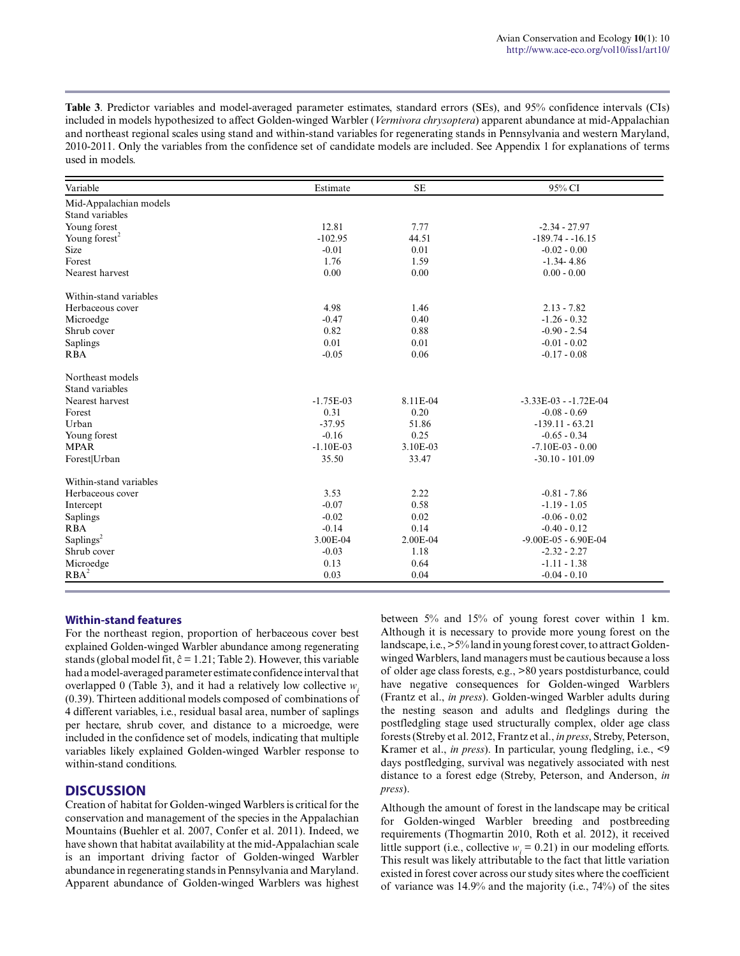**Table 3**. Predictor variables and model-averaged parameter estimates, standard errors (SEs), and 95% confidence intervals (CIs) included in models hypothesized to affect Golden-winged Warbler (*Vermivora chrysoptera*) apparent abundance at mid-Appalachian and northeast regional scales using stand and within-stand variables for regenerating stands in Pennsylvania and western Maryland, 2010-2011. Only the variables from the confidence set of candidate models are included. See Appendix 1 for explanations of terms used in models.

| Variable                  | Estimate    | <b>SE</b> | 95% CI                     |
|---------------------------|-------------|-----------|----------------------------|
| Mid-Appalachian models    |             |           |                            |
| Stand variables           |             |           |                            |
| Young forest              | 12.81       | 7.77      | $-2.34 - 27.97$            |
| Young forest <sup>2</sup> | $-102.95$   | 44.51     | $-189.74 - 16.15$          |
| Size                      | $-0.01$     | 0.01      | $-0.02 - 0.00$             |
| Forest                    | 1.76        | 1.59      | $-1.34 - 4.86$             |
| Nearest harvest           | 0.00        | 0.00      | $0.00 - 0.00$              |
| Within-stand variables    |             |           |                            |
| Herbaceous cover          | 4.98        | 1.46      | $2.13 - 7.82$              |
| Microedge                 | $-0.47$     | 0.40      | $-1.26 - 0.32$             |
| Shrub cover               | 0.82        | 0.88      | $-0.90 - 2.54$             |
| Saplings                  | 0.01        | 0.01      | $-0.01 - 0.02$             |
| <b>RBA</b>                | $-0.05$     | 0.06      | $-0.17 - 0.08$             |
| Northeast models          |             |           |                            |
| Stand variables           |             |           |                            |
| Nearest harvest           | $-1.75E-03$ | 8.11E-04  | $-3.33E - 03 - 1.72E - 04$ |
| Forest                    | 0.31        | 0.20      | $-0.08 - 0.69$             |
| Urban                     | $-37.95$    | 51.86     | $-139.11 - 63.21$          |
| Young forest              | $-0.16$     | 0.25      | $-0.65 - 0.34$             |
| <b>MPAR</b>               | $-1.10E-03$ | 3.10E-03  | $-7.10E - 03 - 0.00$       |
| Forest Urban              | 35.50       | 33.47     | $-30.10 - 101.09$          |
| Within-stand variables    |             |           |                            |
| Herbaceous cover          | 3.53        | 2.22      | $-0.81 - 7.86$             |
| Intercept                 | $-0.07$     | 0.58      | $-1.19 - 1.05$             |
| Saplings                  | $-0.02$     | 0.02      | $-0.06 - 0.02$             |
| <b>RBA</b>                | $-0.14$     | 0.14      | $-0.40 - 0.12$             |
| Saplings <sup>2</sup>     | 3.00E-04    | 2.00E-04  | $-9.00E - 05 - 6.90E - 04$ |
| Shrub cover               | $-0.03$     | 1.18      | $-2.32 - 2.27$             |
| Microedge                 | 0.13        | 0.64      | $-1.11 - 1.38$             |
| $RBA^2$                   | 0.03        | 0.04      | $-0.04 - 0.10$             |

### **Within-stand features**

For the northeast region, proportion of herbaceous cover best explained Golden-winged Warbler abundance among regenerating stands (global model fit,  $\hat{c} = 1.21$ ; Table 2). However, this variable had a model-averaged parameter estimate confidence interval that overlapped 0 (Table 3), and it had a relatively low collective *w<sup>i</sup>* (0.39). Thirteen additional models composed of combinations of 4 different variables, i.e., residual basal area, number of saplings per hectare, shrub cover, and distance to a microedge, were included in the confidence set of models, indicating that multiple variables likely explained Golden-winged Warbler response to within-stand conditions.

### **DISCUSSION**

Creation of habitat for Golden-winged Warblers is critical for the conservation and management of the species in the Appalachian Mountains (Buehler et al. 2007, Confer et al. 2011). Indeed, we have shown that habitat availability at the mid-Appalachian scale is an important driving factor of Golden-winged Warbler abundance in regenerating stands in Pennsylvania and Maryland. Apparent abundance of Golden-winged Warblers was highest between 5% and 15% of young forest cover within 1 km. Although it is necessary to provide more young forest on the landscape, i.e., >5% land in young forest cover, to attract Goldenwinged Warblers, land managers must be cautious because a loss of older age class forests, e.g., >80 years postdisturbance, could have negative consequences for Golden-winged Warblers (Frantz et al., *in press*). Golden-winged Warbler adults during the nesting season and adults and fledglings during the postfledgling stage used structurally complex, older age class forests (Streby et al. 2012, Frantz et al., *in press*, Streby, Peterson, Kramer et al., *in press*). In particular, young fledgling, i.e., <9 days postfledging, survival was negatively associated with nest distance to a forest edge (Streby, Peterson, and Anderson, *in press*).

Although the amount of forest in the landscape may be critical for Golden-winged Warbler breeding and postbreeding requirements (Thogmartin 2010, Roth et al. 2012), it received little support (i.e., collective  $w_i = 0.21$ ) in our modeling efforts. This result was likely attributable to the fact that little variation existed in forest cover across our study sites where the coefficient of variance was 14.9% and the majority (i.e., 74%) of the sites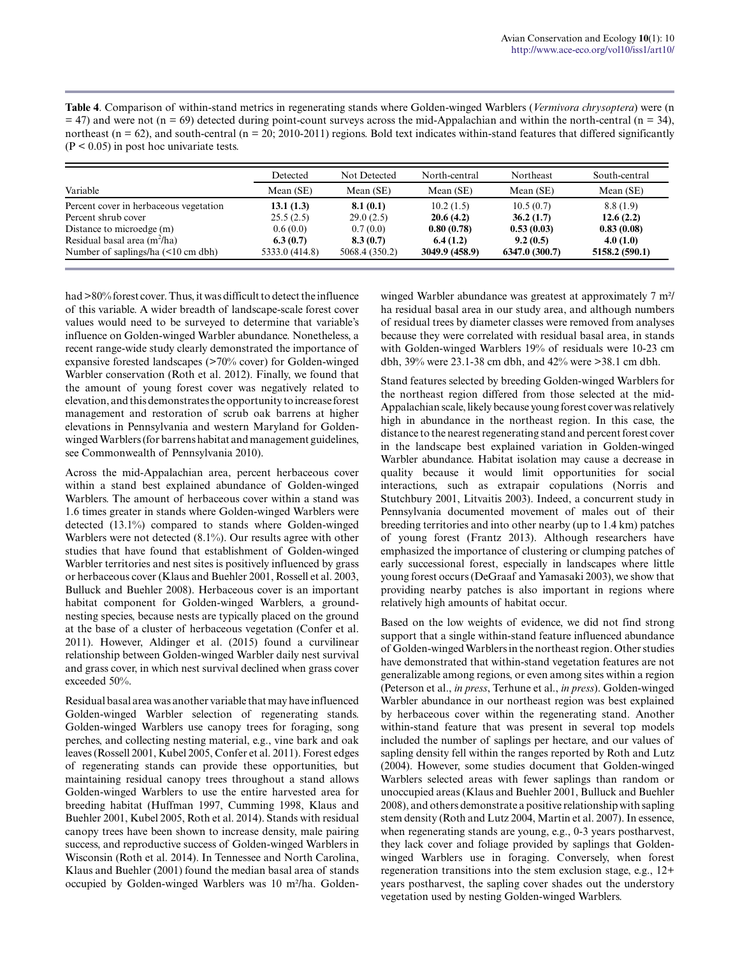| Table 4. Comparison of within-stand metrics in regenerating stands where Golden-winged Warblers (Vermivora chrysoptera) were (n                  |
|--------------------------------------------------------------------------------------------------------------------------------------------------|
| $=$ 47) and were not (n = 69) detected during point-count surveys across the mid-Appalachian and within the north-central (n = 34).              |
| northeast ( $n = 62$ ), and south-central ( $n = 20$ ; 2010-2011) regions. Bold text indicates within-stand features that differed significantly |
| $(P < 0.05)$ in post hoc univariate tests.                                                                                                       |

|                                                  | Detected       | Not Detected   | North-central  | Northeast      | South-central  |
|--------------------------------------------------|----------------|----------------|----------------|----------------|----------------|
| Variable                                         | Mean (SE)      | Mean (SE)      | Mean (SE)      | Mean (SE)      | Mean (SE)      |
| Percent cover in herbaceous vegetation           | 13.1(1.3)      | 8.1(0.1)       | 10.2(1.5)      | 10.5(0.7)      | 8.8(1.9)       |
| Percent shrub cover                              | 25.5(2.5)      | 29.0(2.5)      | 20.6(4.2)      | 36.2(1.7)      | 12.6(2.2)      |
| Distance to microedge (m)                        | 0.6(0.0)       | 0.7(0.0)       | 0.80(0.78)     | 0.53(0.03)     | 0.83(0.08)     |
| Residual basal area (m <sup>2</sup> /ha)         | 6.3(0.7)       | 8.3(0.7)       | 6.4(1.2)       | 9.2(0.5)       | 4.0(1.0)       |
| Number of saplings/ha $(\leq 10 \text{ cm dbh})$ | 5333.0 (414.8) | 5068.4 (350.2) | 3049.9 (458.9) | 6347.0 (300.7) | 5158.2 (590.1) |

had >80% forest cover. Thus, it was difficult to detect the influence of this variable. A wider breadth of landscape-scale forest cover values would need to be surveyed to determine that variable's influence on Golden-winged Warbler abundance. Nonetheless, a recent range-wide study clearly demonstrated the importance of expansive forested landscapes (>70% cover) for Golden-winged Warbler conservation (Roth et al. 2012). Finally, we found that the amount of young forest cover was negatively related to elevation, and this demonstrates the opportunity to increase forest management and restoration of scrub oak barrens at higher elevations in Pennsylvania and western Maryland for Goldenwinged Warblers (for barrens habitat and management guidelines, see Commonwealth of Pennsylvania 2010).

Across the mid-Appalachian area, percent herbaceous cover within a stand best explained abundance of Golden-winged Warblers. The amount of herbaceous cover within a stand was 1.6 times greater in stands where Golden-winged Warblers were detected (13.1%) compared to stands where Golden-winged Warblers were not detected (8.1%). Our results agree with other studies that have found that establishment of Golden-winged Warbler territories and nest sites is positively influenced by grass or herbaceous cover (Klaus and Buehler 2001, Rossell et al. 2003, Bulluck and Buehler 2008). Herbaceous cover is an important habitat component for Golden-winged Warblers, a groundnesting species, because nests are typically placed on the ground at the base of a cluster of herbaceous vegetation (Confer et al. 2011). However, Aldinger et al. (2015) found a curvilinear relationship between Golden-winged Warbler daily nest survival and grass cover, in which nest survival declined when grass cover exceeded 50%.

Residual basal area was another variable that may have influenced Golden-winged Warbler selection of regenerating stands. Golden-winged Warblers use canopy trees for foraging, song perches, and collecting nesting material, e.g., vine bark and oak leaves (Rossell 2001, Kubel 2005, Confer et al. 2011). Forest edges of regenerating stands can provide these opportunities, but maintaining residual canopy trees throughout a stand allows Golden-winged Warblers to use the entire harvested area for breeding habitat (Huffman 1997, Cumming 1998, Klaus and Buehler 2001, Kubel 2005, Roth et al. 2014). Stands with residual canopy trees have been shown to increase density, male pairing success, and reproductive success of Golden-winged Warblers in Wisconsin (Roth et al. 2014). In Tennessee and North Carolina, Klaus and Buehler (2001) found the median basal area of stands occupied by Golden-winged Warblers was 10 m²/ha. Goldenwinged Warbler abundance was greatest at approximately 7 m²/ ha residual basal area in our study area, and although numbers of residual trees by diameter classes were removed from analyses because they were correlated with residual basal area, in stands with Golden-winged Warblers 19% of residuals were 10-23 cm dbh, 39% were 23.1-38 cm dbh, and 42% were >38.1 cm dbh.

Stand features selected by breeding Golden-winged Warblers for the northeast region differed from those selected at the mid-Appalachian scale, likely because young forest cover was relatively high in abundance in the northeast region. In this case, the distance to the nearest regenerating stand and percent forest cover in the landscape best explained variation in Golden-winged Warbler abundance. Habitat isolation may cause a decrease in quality because it would limit opportunities for social interactions, such as extrapair copulations (Norris and Stutchbury 2001, Litvaitis 2003). Indeed, a concurrent study in Pennsylvania documented movement of males out of their breeding territories and into other nearby (up to 1.4 km) patches of young forest (Frantz 2013). Although researchers have emphasized the importance of clustering or clumping patches of early successional forest, especially in landscapes where little young forest occurs (DeGraaf and Yamasaki 2003), we show that providing nearby patches is also important in regions where relatively high amounts of habitat occur.

Based on the low weights of evidence, we did not find strong support that a single within-stand feature influenced abundance of Golden-winged Warblers in the northeast region. Other studies have demonstrated that within-stand vegetation features are not generalizable among regions, or even among sites within a region (Peterson et al., *in press*, Terhune et al., *in press*). Golden-winged Warbler abundance in our northeast region was best explained by herbaceous cover within the regenerating stand. Another within-stand feature that was present in several top models included the number of saplings per hectare, and our values of sapling density fell within the ranges reported by Roth and Lutz (2004). However, some studies document that Golden-winged Warblers selected areas with fewer saplings than random or unoccupied areas (Klaus and Buehler 2001, Bulluck and Buehler 2008), and others demonstrate a positive relationship with sapling stem density (Roth and Lutz 2004, Martin et al. 2007). In essence, when regenerating stands are young, e.g., 0-3 years postharvest, they lack cover and foliage provided by saplings that Goldenwinged Warblers use in foraging. Conversely, when forest regeneration transitions into the stem exclusion stage, e.g., 12+ years postharvest, the sapling cover shades out the understory vegetation used by nesting Golden-winged Warblers.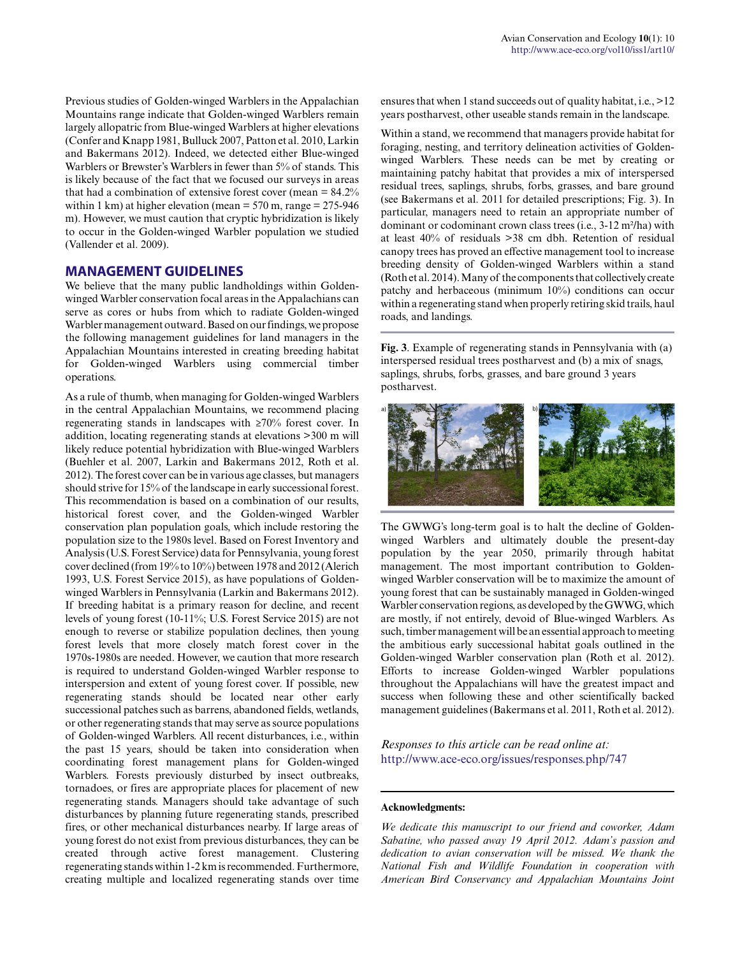Previous studies of Golden-winged Warblers in the Appalachian Mountains range indicate that Golden-winged Warblers remain largely allopatric from Blue-winged Warblers at higher elevations (Confer and Knapp 1981, Bulluck 2007, Patton et al. 2010, Larkin and Bakermans 2012). Indeed, we detected either Blue-winged Warblers or Brewster's Warblers in fewer than 5% of stands. This is likely because of the fact that we focused our surveys in areas that had a combination of extensive forest cover (mean = 84.2% within 1 km) at higher elevation (mean =  $570$  m, range =  $275-946$ m). However, we must caution that cryptic hybridization is likely to occur in the Golden-winged Warbler population we studied (Vallender et al. 2009).

# **MANAGEMENT GUIDELINES**

We believe that the many public landholdings within Goldenwinged Warbler conservation focal areas in the Appalachians can serve as cores or hubs from which to radiate Golden-winged Warbler management outward. Based on our findings, we propose the following management guidelines for land managers in the Appalachian Mountains interested in creating breeding habitat for Golden-winged Warblers using commercial timber operations.

As a rule of thumb, when managing for Golden-winged Warblers in the central Appalachian Mountains, we recommend placing regenerating stands in landscapes with ≥70% forest cover. In addition, locating regenerating stands at elevations >300 m will likely reduce potential hybridization with Blue-winged Warblers (Buehler et al. 2007, Larkin and Bakermans 2012, Roth et al. 2012). The forest cover can be in various age classes, but managers should strive for 15% of the landscape in early successional forest. This recommendation is based on a combination of our results, historical forest cover, and the Golden-winged Warbler conservation plan population goals, which include restoring the population size to the 1980s level. Based on Forest Inventory and Analysis (U.S. Forest Service) data for Pennsylvania, young forest cover declined (from 19% to 10%) between 1978 and 2012 (Alerich 1993, U.S. Forest Service 2015), as have populations of Goldenwinged Warblers in Pennsylvania (Larkin and Bakermans 2012). If breeding habitat is a primary reason for decline, and recent levels of young forest (10-11%; U.S. Forest Service 2015) are not enough to reverse or stabilize population declines, then young forest levels that more closely match forest cover in the 1970s-1980s are needed. However, we caution that more research is required to understand Golden-winged Warbler response to interspersion and extent of young forest cover. If possible, new regenerating stands should be located near other early successional patches such as barrens, abandoned fields, wetlands, or other regenerating stands that may serve as source populations of Golden-winged Warblers. All recent disturbances, i.e., within the past 15 years, should be taken into consideration when coordinating forest management plans for Golden-winged Warblers. Forests previously disturbed by insect outbreaks, tornadoes, or fires are appropriate places for placement of new regenerating stands. Managers should take advantage of such disturbances by planning future regenerating stands, prescribed fires, or other mechanical disturbances nearby. If large areas of young forest do not exist from previous disturbances, they can be created through active forest management. Clustering regenerating stands within 1-2 km is recommended. Furthermore, creating multiple and localized regenerating stands over time

ensures that when 1 stand succeeds out of quality habitat, i.e., >12 years postharvest, other useable stands remain in the landscape.

Within a stand, we recommend that managers provide habitat for foraging, nesting, and territory delineation activities of Goldenwinged Warblers. These needs can be met by creating or maintaining patchy habitat that provides a mix of interspersed residual trees, saplings, shrubs, forbs, grasses, and bare ground (see Bakermans et al. 2011 for detailed prescriptions; Fig. 3). In particular, managers need to retain an appropriate number of dominant or codominant crown class trees (i.e., 3-12 m²/ha) with at least 40% of residuals >38 cm dbh. Retention of residual canopy trees has proved an effective management tool to increase breeding density of Golden-winged Warblers within a stand (Roth et al. 2014). Many of the components that collectively create patchy and herbaceous (minimum 10%) conditions can occur within a regenerating stand when properly retiring skid trails, haul roads, and landings.

**Fig. 3**. Example of regenerating stands in Pennsylvania with (a) interspersed residual trees postharvest and (b) a mix of snags, saplings, shrubs, forbs, grasses, and bare ground 3 years postharvest.



The GWWG's long-term goal is to halt the decline of Goldenwinged Warblers and ultimately double the present-day population by the year 2050, primarily through habitat management. The most important contribution to Goldenwinged Warbler conservation will be to maximize the amount of young forest that can be sustainably managed in Golden-winged Warbler conservation regions, as developed by the GWWG, which are mostly, if not entirely, devoid of Blue-winged Warblers. As such, timber management will be an essential approach to meeting the ambitious early successional habitat goals outlined in the Golden-winged Warbler conservation plan (Roth et al. 2012). Efforts to increase Golden-winged Warbler populations throughout the Appalachians will have the greatest impact and success when following these and other scientifically backed management guidelines (Bakermans et al. 2011, Roth et al. 2012).

*Responses to this article can be read online at:* <http://www.ace-eco.org/issues/responses.php/747>

### **Acknowledgments:**

*We dedicate this manuscript to our friend and coworker, Adam Sabatine, who passed away 19 April 2012. Adam's passion and dedication to avian conservation will be missed. We thank the National Fish and Wildlife Foundation in cooperation with American Bird Conservancy and Appalachian Mountains Joint*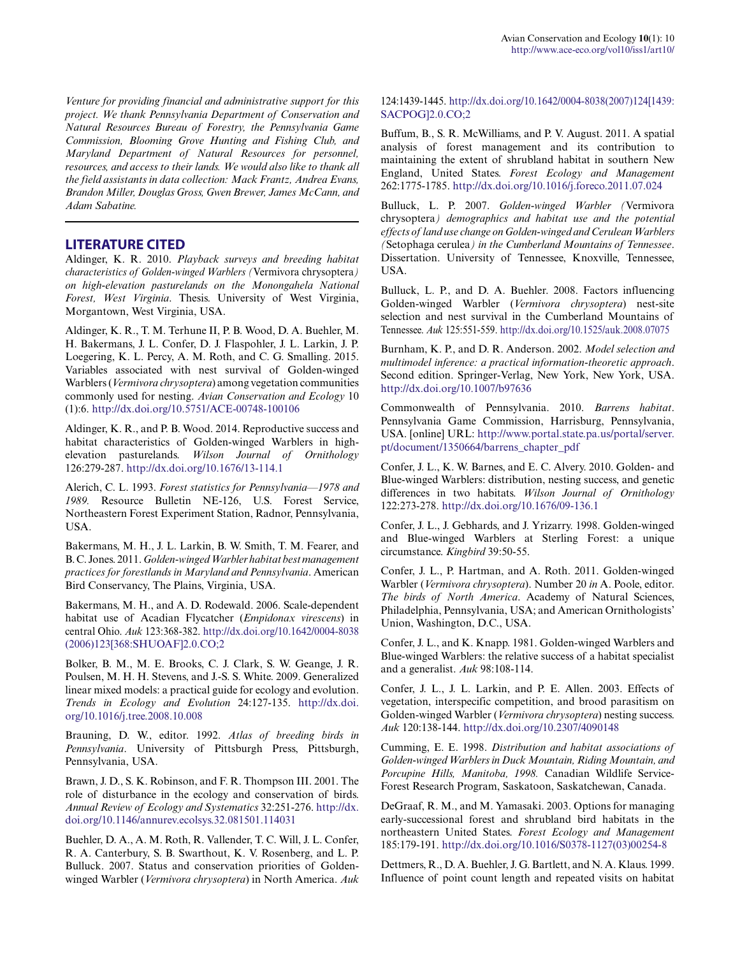*Venture for providing financial and administrative support for this project. We thank Pennsylvania Department of Conservation and Natural Resources Bureau of Forestry, the Pennsylvania Game Commission, Blooming Grove Hunting and Fishing Club, and Maryland Department of Natural Resources for personnel, resources, and access to their lands. We would also like to thank all the field assistants in data collection: Mack Frantz, Andrea Evans, Brandon Miller, Douglas Gross, Gwen Brewer, James McCann, and Adam Sabatine.*

# **LITERATURE CITED**

Aldinger, K. R. 2010. *Playback surveys and breeding habitat characteristics of Golden-winged Warblers (*Vermivora chrysoptera*) on high-elevation pasturelands on the Monongahela National Forest, West Virginia*. Thesis. University of West Virginia, Morgantown, West Virginia, USA.

Aldinger, K. R., T. M. Terhune II, P. B. Wood, D. A. Buehler, M. H. Bakermans, J. L. Confer, D. J. Flaspohler, J. L. Larkin, J. P. Loegering, K. L. Percy, A. M. Roth, and C. G. Smalling. 2015. Variables associated with nest survival of Golden-winged Warblers (*Vermivora chrysoptera*) among vegetation communities commonly used for nesting. *Avian Conservation and Ecology* 10 (1):6.<http://dx.doi.org/10.5751/ACE-00748-100106>

Aldinger, K. R., and P. B. Wood. 2014. Reproductive success and habitat characteristics of Golden-winged Warblers in highelevation pasturelands. *Wilson Journal of Ornithology* 126:279-287. [http://dx.doi.org/10.1676/13-114.1](http://dx.doi.org/10.1676%2F13-114.1)

Alerich, C. L. 1993. *Forest statistics for Pennsylvania—1978 and 1989.* Resource Bulletin NE-126, U.S. Forest Service, Northeastern Forest Experiment Station, Radnor, Pennsylvania, USA.

Bakermans, M. H., J. L. Larkin, B. W. Smith, T. M. Fearer, and B. C. Jones. 2011. *Golden-winged Warbler habitat best management practices for forestlands in Maryland and Pennsylvania*. American Bird Conservancy, The Plains, Virginia, USA.

Bakermans, M. H., and A. D. Rodewald. 2006. Scale-dependent habitat use of Acadian Flycatcher (*Empidonax virescens*) in central Ohio. *Auk* 123:368-382. [http://dx.doi.org/10.1642/0004-8038](http://dx.doi.org/10.1642%2F0004-8038%282006%29123%5B368%3ASHUOAF%5D2.0.CO%3B2) [\(2006\)123\[368:SHUOAF\]2.0.CO;2](http://dx.doi.org/10.1642%2F0004-8038%282006%29123%5B368%3ASHUOAF%5D2.0.CO%3B2) 

Bolker, B. M., M. E. Brooks, C. J. Clark, S. W. Geange, J. R. Poulsen, M. H. H. Stevens, and J.-S. S. White. 2009. Generalized linear mixed models: a practical guide for ecology and evolution. *Trends in Ecology and Evolution* 24:127-135. [http://dx.doi.](http://dx.doi.org/10.1016%2Fj.tree.2008.10.008) [org/10.1016/j.tree.2008.10.008](http://dx.doi.org/10.1016%2Fj.tree.2008.10.008) 

Brauning, D. W., editor. 1992. *Atlas of breeding birds in Pennsylvania*. University of Pittsburgh Press, Pittsburgh, Pennsylvania, USA.

Brawn, J. D., S. K. Robinson, and F. R. Thompson III. 2001. The role of disturbance in the ecology and conservation of birds. *Annual Review of Ecology and Systematics* 32:251-276. [http://dx.](http://dx.doi.org/10.1146%2Fannurev.ecolsys.32.081501.114031) [doi.org/10.1146/annurev.ecolsys.32.081501.114031](http://dx.doi.org/10.1146%2Fannurev.ecolsys.32.081501.114031) 

Buehler, D. A., A. M. Roth, R. Vallender, T. C. Will, J. L. Confer, R. A. Canterbury, S. B. Swarthout, K. V. Rosenberg, and L. P. Bulluck. 2007. Status and conservation priorities of Goldenwinged Warbler (*Vermivora chrysoptera*) in North America. *Auk*

124:1439-1445. [http://dx.doi.org/10.1642/0004-8038\(2007\)124\[1439:](http://dx.doi.org/10.1642%2F0004-8038%282007%29124%5B1439%3ASACPOG%5D2.0.CO%3B2) [SACPOG\]2.0.CO;2](http://dx.doi.org/10.1642%2F0004-8038%282007%29124%5B1439%3ASACPOG%5D2.0.CO%3B2)

Buffum, B., S. R. McWilliams, and P. V. August. 2011. A spatial analysis of forest management and its contribution to maintaining the extent of shrubland habitat in southern New England, United States. *Forest Ecology and Management* 262:1775-1785. [http://dx.doi.org/10.1016/j.foreco.2011.07.024](http://dx.doi.org/10.1016%2Fj.foreco.2011.07.024)

Bulluck, L. P. 2007. *Golden-winged Warbler (*Vermivora chrysoptera*) demographics and habitat use and the potential effects of land use change on Golden-winged and Cerulean Warblers (*Setophaga cerulea*) in the Cumberland Mountains of Tennessee*. Dissertation. University of Tennessee, Knoxville, Tennessee, USA.

Bulluck, L. P., and D. A. Buehler. 2008. Factors influencing Golden-winged Warbler (*Vermivora chrysoptera*) nest-site selection and nest survival in the Cumberland Mountains of Tennessee. *Auk* 125:551-559. [http://dx.doi.org/10.1525/auk.2008.07075](http://dx.doi.org/10.1525%2Fauk.2008.07075) 

Burnham, K. P., and D. R. Anderson. 2002. *Model selection and multimodel inference: a practical information-theoretic approach*. Second edition. Springer-Verlag, New York, New York, USA. [http://dx.doi.org/10.1007/b97636](http://dx.doi.org/10.1007%2Fb97636) 

Commonwealth of Pennsylvania. 2010. *Barrens habitat*. Pennsylvania Game Commission, Harrisburg, Pennsylvania, USA. [online] URL: [http://www.portal.state.pa.us/portal/server.](http://www.portal.state.pa.us/portal/server.pt/document/1350664/barrens_chapter_pdf) [pt/document/1350664/barrens\\_chapter\\_pdf](http://www.portal.state.pa.us/portal/server.pt/document/1350664/barrens_chapter_pdf)

Confer, J. L., K. W. Barnes, and E. C. Alvery. 2010. Golden- and Blue-winged Warblers: distribution, nesting success, and genetic differences in two habitats. *Wilson Journal of Ornithology* 122:273-278. [http://dx.doi.org/10.1676/09-136.1](http://dx.doi.org/10.1676%2F09-136.1)

Confer, J. L., J. Gebhards, and J. Yrizarry. 1998. Golden-winged and Blue-winged Warblers at Sterling Forest: a unique circumstance. *Kingbird* 39:50-55.

Confer, J. L., P. Hartman, and A. Roth. 2011. Golden-winged Warbler (*Vermivora chrysoptera*). Number 20 *in* A. Poole, editor. *The birds of North America*. Academy of Natural Sciences, Philadelphia, Pennsylvania, USA; and American Ornithologists' Union, Washington, D.C., USA.

Confer, J. L., and K. Knapp. 1981. Golden-winged Warblers and Blue-winged Warblers: the relative success of a habitat specialist and a generalist. *Auk* 98:108-114.

Confer, J. L., J. L. Larkin, and P. E. Allen. 2003. Effects of vegetation, interspecific competition, and brood parasitism on Golden-winged Warbler (*Vermivora chrysoptera*) nesting success. *Auk* 120:138-144. [http://dx.doi.org/10.2307/4090148](http://dx.doi.org/10.2307%2F4090148)

Cumming, E. E. 1998. *Distribution and habitat associations of Golden-winged Warblers in Duck Mountain, Riding Mountain, and Porcupine Hills, Manitoba, 1998.* Canadian Wildlife Service-Forest Research Program, Saskatoon, Saskatchewan, Canada.

DeGraaf, R. M., and M. Yamasaki. 2003. Options for managing early-successional forest and shrubland bird habitats in the northeastern United States. *Forest Ecology and Management* 185:179-191. [http://dx.doi.org/10.1016/S0378-1127\(03\)00254-8](http://dx.doi.org/10.1016%2FS0378-1127%2803%2900254-8) 

Dettmers, R., D. A. Buehler, J. G. Bartlett, and N. A. Klaus. 1999. Influence of point count length and repeated visits on habitat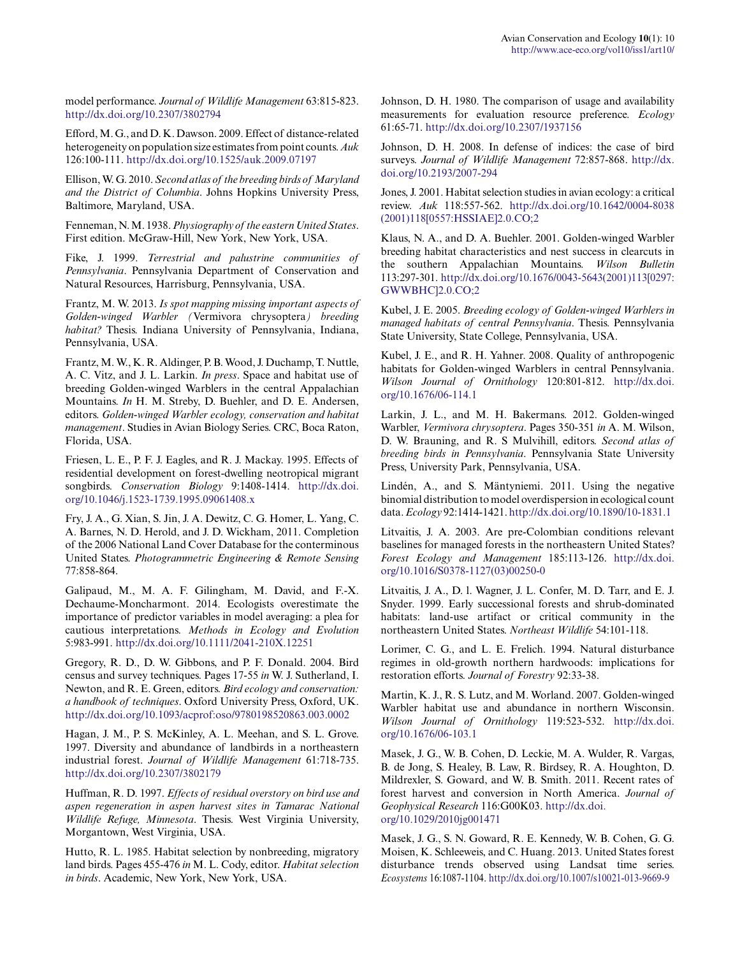model performance. *Journal of Wildlife Management* 63:815-823. [http://dx.doi.org/10.2307/3802794](http://dx.doi.org/10.2307%2F3802794) 

Efford, M. G., and D. K. Dawson. 2009. Effect of distance-related heterogeneity on population size estimates from point counts. *Auk* 126:100-111. [http://dx.doi.org/10.1525/auk.2009.07197](http://dx.doi.org/10.1525%2Fauk.2009.07197) 

Ellison, W. G. 2010. *Second atlas of the breeding birds of Maryland and the District of Columbia*. Johns Hopkins University Press, Baltimore, Maryland, USA.

Fenneman, N. M. 1938. *Physiography of the eastern United States*. First edition. McGraw-Hill, New York, New York, USA.

Fike, J. 1999. *Terrestrial and palustrine communities of Pennsylvania*. Pennsylvania Department of Conservation and Natural Resources, Harrisburg, Pennsylvania, USA.

Frantz, M. W. 2013. *Is spot mapping missing important aspects of Golden-winged Warbler (*Vermivora chrysoptera*) breeding habitat?* Thesis. Indiana University of Pennsylvania, Indiana, Pennsylvania, USA.

Frantz, M. W., K. R. Aldinger, P. B. Wood, J. Duchamp, T. Nuttle, A. C. Vitz, and J. L. Larkin. *In press*. Space and habitat use of breeding Golden-winged Warblers in the central Appalachian Mountains. *In* H. M. Streby, D. Buehler, and D. E. Andersen, editors. *Golden-winged Warbler ecology, conservation and habitat management*. Studies in Avian Biology Series. CRC, Boca Raton, Florida, USA.

Friesen, L. E., P. F. J. Eagles, and R. J. Mackay. 1995. Effects of residential development on forest-dwelling neotropical migrant songbirds. *Conservation Biology* 9:1408-1414. [http://dx.doi.](http://dx.doi.org/10.1046%2Fj.1523-1739.1995.09061408.x) [org/10.1046/j.1523-1739.1995.09061408.x](http://dx.doi.org/10.1046%2Fj.1523-1739.1995.09061408.x) 

Fry, J. A., G. Xian, S. Jin, J. A. Dewitz, C. G. Homer, L. Yang, C. A. Barnes, N. D. Herold, and J. D. Wickham, 2011. Completion of the 2006 National Land Cover Database for the conterminous United States. *Photogrammetric Engineering & Remote Sensing* 77:858-864.

Galipaud, M., M. A. F. Gilingham, M. David, and F.-X. Dechaume-Moncharmont. 2014. Ecologists overestimate the importance of predictor variables in model averaging: a plea for cautious interpretations. *Methods in Ecology and Evolution* 5:983-991. [http://dx.doi.org/10.1111/2041-210X.12251](http://dx.doi.org/10.1111%2F2041-210X.12251)

Gregory, R. D., D. W. Gibbons, and P. F. Donald. 2004. Bird census and survey techniques. Pages 17-55 *in* W. J. Sutherland, I. Newton, and R. E. Green, editors. *Bird ecology and conservation: a handbook of techniques*. Oxford University Press, Oxford, UK. [http://dx.doi.org/10.1093/acprof:oso/9780198520863.003.0002](http://dx.doi.org/10.1093%2Facprof%3Aoso%2F9780198520863.003.0002)

Hagan, J. M., P. S. McKinley, A. L. Meehan, and S. L. Grove. 1997. Diversity and abundance of landbirds in a northeastern industrial forest. *Journal of Wildlife Management* 61:718-735. [http://dx.doi.org/10.2307/3802179](http://dx.doi.org/10.2307%2F3802179) 

Huffman, R. D. 1997. *Effects of residual overstory on bird use and aspen regeneration in aspen harvest sites in Tamarac National Wildlife Refuge, Minnesota*. Thesis. West Virginia University, Morgantown, West Virginia, USA.

Hutto, R. L. 1985. Habitat selection by nonbreeding, migratory land birds. Pages 455-476 *in* M. L. Cody, editor. *Habitat selection in birds*. Academic, New York, New York, USA.

Johnson, D. H. 1980. The comparison of usage and availability measurements for evaluation resource preference. *Ecology* 61:65-71. [http://dx.doi.org/10.2307/1937156](http://dx.doi.org/10.2307%2F1937156) 

Johnson, D. H. 2008. In defense of indices: the case of bird surveys. *Journal of Wildlife Management* 72:857-868. [http://dx.](http://dx.doi.org/10.2193%2F2007-294) [doi.org/10.2193/2007-294](http://dx.doi.org/10.2193%2F2007-294)

Jones, J. 2001. Habitat selection studies in avian ecology: a critical review. *Auk* 118:557-562. [http://dx.doi.org/10.1642/0004-8038](http://dx.doi.org/10.1642%2F0004-8038%282001%29118%5B0557%3AHSSIAE%5D2.0.CO%3B2) [\(2001\)118\[0557:HSSIAE\]2.0.CO;2](http://dx.doi.org/10.1642%2F0004-8038%282001%29118%5B0557%3AHSSIAE%5D2.0.CO%3B2) 

Klaus, N. A., and D. A. Buehler. 2001. Golden-winged Warbler breeding habitat characteristics and nest success in clearcuts in the southern Appalachian Mountains. *Wilson Bulletin* 113:297-301. [http://dx.doi.org/10.1676/0043-5643\(2001\)113\[0297:](http://dx.doi.org/10.1676%2F0043-5643%282001%29113%5B0297%3AGWWBHC%5D2.0.CO%3B2) [GWWBHC\]2.0.CO;2](http://dx.doi.org/10.1676%2F0043-5643%282001%29113%5B0297%3AGWWBHC%5D2.0.CO%3B2) 

Kubel, J. E. 2005. *Breeding ecology of Golden-winged Warblers in managed habitats of central Pennsylvania*. Thesis. Pennsylvania State University, State College, Pennsylvania, USA.

Kubel, J. E., and R. H. Yahner. 2008. Quality of anthropogenic habitats for Golden-winged Warblers in central Pennsylvania. *Wilson Journal of Ornithology* 120:801-812. [http://dx.doi.](http://dx.doi.org/10.1676%2F06-114.1) [org/10.1676/06-114.1](http://dx.doi.org/10.1676%2F06-114.1) 

Larkin, J. L., and M. H. Bakermans. 2012. Golden-winged Warbler, *Vermivora chrysoptera*. Pages 350-351 *in* A. M. Wilson, D. W. Brauning, and R. S Mulvihill, editors. *Second atlas of breeding birds in Pennsylvania*. Pennsylvania State University Press, University Park, Pennsylvania, USA.

Lindén, A., and S. Mäntyniemi. 2011. Using the negative binomial distribution to model overdispersion in ecological count data. *Ecology* 92:1414-1421. [http://dx.doi.org/10.1890/10-1831.1](http://dx.doi.org/10.1890%2F10-1831.1)

Litvaitis, J. A. 2003. Are pre-Colombian conditions relevant baselines for managed forests in the northeastern United States? *Forest Ecology and Management* 185:113-126. [http://dx.doi.](http://dx.doi.org/10.1016%2FS0378-1127%2803%2900250-0) [org/10.1016/S0378-1127\(03\)00250-0](http://dx.doi.org/10.1016%2FS0378-1127%2803%2900250-0)

Litvaitis, J. A., D. l. Wagner, J. L. Confer, M. D. Tarr, and E. J. Snyder. 1999. Early successional forests and shrub-dominated habitats: land-use artifact or critical community in the northeastern United States. *Northeast Wildlife* 54:101-118.

Lorimer, C. G., and L. E. Frelich. 1994. Natural disturbance regimes in old-growth northern hardwoods: implications for restoration efforts. *Journal of Forestry* 92:33-38.

Martin, K. J., R. S. Lutz, and M. Worland. 2007. Golden-winged Warbler habitat use and abundance in northern Wisconsin. *Wilson Journal of Ornithology* 119:523-532. [http://dx.doi.](http://dx.doi.org/10.1676%2F06-103.1) [org/10.1676/06-103.1](http://dx.doi.org/10.1676%2F06-103.1) 

Masek, J. G., W. B. Cohen, D. Leckie, M. A. Wulder, R. Vargas, B. de Jong, S. Healey, B. Law, R. Birdsey, R. A. Houghton, D. Mildrexler, S. Goward, and W. B. Smith. 2011. Recent rates of forest harvest and conversion in North America. *Journal of Geophysical Research* 116:G00K03. [http://dx.doi.](http://dx.doi.org/10.1029%2F2010jg001471) [org/10.1029/2010jg001471](http://dx.doi.org/10.1029%2F2010jg001471)

Masek, J. G., S. N. Goward, R. E. Kennedy, W. B. Cohen, G. G. Moisen, K. Schleeweis, and C. Huang. 2013. United States forest disturbance trends observed using Landsat time series. *Ecosystems* 16:1087-1104. [http://dx.doi.org/10.1007/s10021-013-9669-9](http://dx.doi.org/10.1007%2Fs10021-013-9669-9)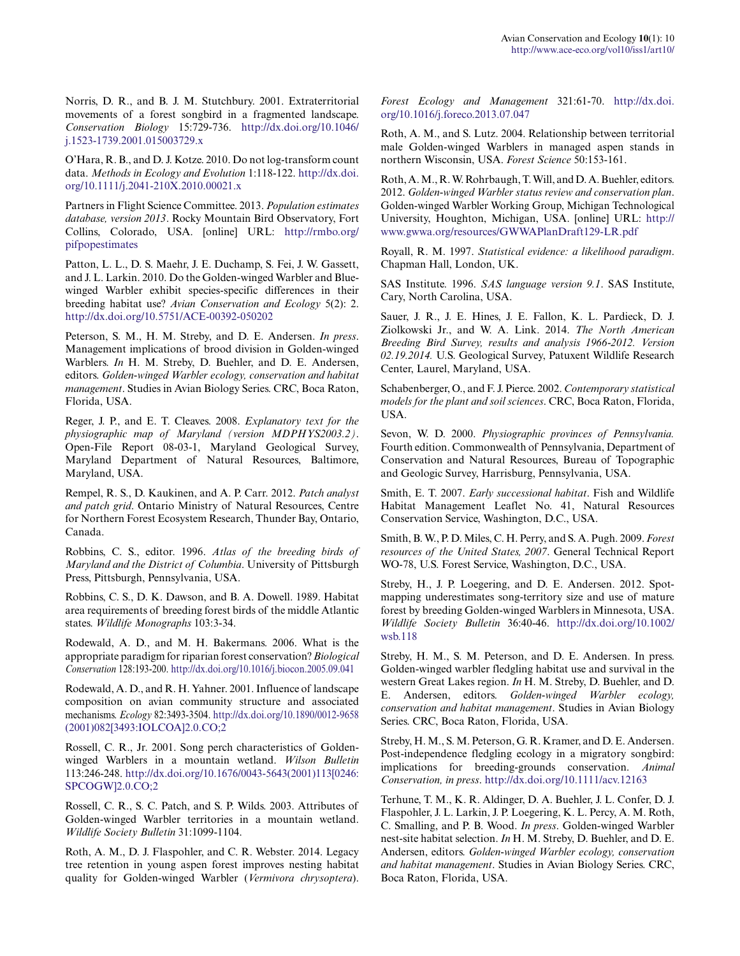Norris, D. R., and B. J. M. Stutchbury. 2001. Extraterritorial movements of a forest songbird in a fragmented landscape. *Conservation Biology* 15:729-736. [http://dx.doi.org/10.1046/](http://dx.doi.org/10.1046%2Fj.1523-1739.2001.015003729.x) [j.1523-1739.2001.015003729.x](http://dx.doi.org/10.1046%2Fj.1523-1739.2001.015003729.x)

O'Hara, R. B., and D. J. Kotze. 2010. Do not log-transform count data. *Methods in Ecology and Evolution* 1:118-122. [http://dx.doi.](http://dx.doi.org/10.1111%2Fj.2041-210X.2010.00021.x) [org/10.1111/j.2041-210X.2010.00021.x](http://dx.doi.org/10.1111%2Fj.2041-210X.2010.00021.x) 

Partners in Flight Science Committee. 2013. *Population estimates database, version 2013*. Rocky Mountain Bird Observatory, Fort Collins, Colorado, USA. [online] URL: [http://rmbo.org/](http://rmbo.org/pifpopestimates) [pifpopestimates](http://rmbo.org/pifpopestimates)

Patton, L. L., D. S. Maehr, J. E. Duchamp, S. Fei, J. W. Gassett, and J. L. Larkin. 2010. Do the Golden-winged Warbler and Bluewinged Warbler exhibit species-specific differences in their breeding habitat use? *Avian Conservation and Ecology* 5(2): 2. [http://dx.doi.org/10.5751/ACE-00392-050202](http://dx.doi.org/10.5751%2FACE-00392-050202) 

Peterson, S. M., H. M. Streby, and D. E. Andersen. *In press*. Management implications of brood division in Golden-winged Warblers. *In* H. M. Streby, D. Buehler, and D. E. Andersen, editors. *Golden-winged Warbler ecology, conservation and habitat management*. Studies in Avian Biology Series. CRC, Boca Raton, Florida, USA.

Reger, J. P., and E. T. Cleaves. 2008. *Explanatory text for the physiographic map of Maryland (version MDPHYS2003.2)*. Open-File Report 08-03-1, Maryland Geological Survey, Maryland Department of Natural Resources, Baltimore, Maryland, USA.

Rempel, R. S., D. Kaukinen, and A. P. Carr. 2012. *Patch analyst and patch grid*. Ontario Ministry of Natural Resources, Centre for Northern Forest Ecosystem Research, Thunder Bay, Ontario, Canada.

Robbins, C. S., editor. 1996. *Atlas of the breeding birds of Maryland and the District of Columbia*. University of Pittsburgh Press, Pittsburgh, Pennsylvania, USA.

Robbins, C. S., D. K. Dawson, and B. A. Dowell. 1989. Habitat area requirements of breeding forest birds of the middle Atlantic states. *Wildlife Monographs* 103:3-34.

Rodewald, A. D., and M. H. Bakermans. 2006. What is the appropriate paradigm for riparian forest conservation? *Biological Conservation* 128:193-200. [http://dx.doi.org/10.1016/j.biocon.2005.09.041](http://dx.doi.org/10.1016%2Fj.biocon.2005.09.041)

Rodewald, A. D., and R. H. Yahner. 2001. Influence of landscape composition on avian community structure and associated mechanisms. *Ecology* 82:3493-3504. [http://dx.doi.org/10.1890/0012-9658](http://dx.doi.org/10.1890%2F0012-9658%282001%29082%5B3493%3AIOLCOA%5D2.0.CO%3B2) [\(2001\)082\[3493:IOLCOA\]2.0.CO;2](http://dx.doi.org/10.1890%2F0012-9658%282001%29082%5B3493%3AIOLCOA%5D2.0.CO%3B2)

Rossell, C. R., Jr. 2001. Song perch characteristics of Goldenwinged Warblers in a mountain wetland. *Wilson Bulletin* 113:246-248. [http://dx.doi.org/10.1676/0043-5643\(2001\)113\[0246:](http://dx.doi.org/10.1676%2F0043-5643%282001%29113%5B0246%3ASPCOGW%5D2.0.CO%3B2) [SPCOGW\]2.0.CO;2](http://dx.doi.org/10.1676%2F0043-5643%282001%29113%5B0246%3ASPCOGW%5D2.0.CO%3B2) 

Rossell, C. R., S. C. Patch, and S. P. Wilds. 2003. Attributes of Golden-winged Warbler territories in a mountain wetland. *Wildlife Society Bulletin* 31:1099-1104.

Roth, A. M., D. J. Flaspohler, and C. R. Webster. 2014. Legacy tree retention in young aspen forest improves nesting habitat quality for Golden-winged Warbler (*Vermivora chrysoptera*). *Forest Ecology and Management* 321:61-70. [http://dx.doi.](http://dx.doi.org/10.1016%2Fj.foreco.2013.07.047) [org/10.1016/j.foreco.2013.07.047](http://dx.doi.org/10.1016%2Fj.foreco.2013.07.047)

Roth, A. M., and S. Lutz. 2004. Relationship between territorial male Golden-winged Warblers in managed aspen stands in northern Wisconsin, USA. *Forest Science* 50:153-161.

Roth, A. M., R. W. Rohrbaugh, T. Will, and D. A. Buehler, editors. 2012. *Golden-winged Warbler status review and conservation plan*. Golden-winged Warbler Working Group, Michigan Technological University, Houghton, Michigan, USA. [online] URL: [http://](http://www.gwwa.org/resources/GWWAPlanDraft129-LR.pdf) [www.gwwa.org/resources/GWWAPlanDraft129-LR.pdf](http://www.gwwa.org/resources/GWWAPlanDraft129-LR.pdf)

Royall, R. M. 1997. *Statistical evidence: a likelihood paradigm*. Chapman Hall, London, UK.

SAS Institute. 1996. *SAS language version 9.1*. SAS Institute, Cary, North Carolina, USA.

Sauer, J. R., J. E. Hines, J. E. Fallon, K. L. Pardieck, D. J. Ziolkowski Jr., and W. A. Link. 2014. *The North American Breeding Bird Survey, results and analysis 1966-2012. Version 02.19.2014.* U.S. Geological Survey, Patuxent Wildlife Research Center, Laurel, Maryland, USA.

Schabenberger, O., and F. J. Pierce. 2002. *Contemporary statistical models for the plant and soil sciences*. CRC, Boca Raton, Florida, USA.

Sevon, W. D. 2000. *Physiographic provinces of Pennsylvania.* Fourth edition. Commonwealth of Pennsylvania, Department of Conservation and Natural Resources, Bureau of Topographic and Geologic Survey, Harrisburg, Pennsylvania, USA.

Smith, E. T. 2007. *Early successional habitat*. Fish and Wildlife Habitat Management Leaflet No. 41, Natural Resources Conservation Service, Washington, D.C., USA.

Smith, B. W., P. D. Miles, C. H. Perry, and S. A. Pugh. 2009. *Forest resources of the United States, 2007*. General Technical Report WO-78, U.S. Forest Service, Washington, D.C., USA.

Streby, H., J. P. Loegering, and D. E. Andersen. 2012. Spotmapping underestimates song-territory size and use of mature forest by breeding Golden-winged Warblers in Minnesota, USA. *Wildlife Society Bulletin* 36:40-46. [http://dx.doi.org/10.1002/](http://dx.doi.org/10.1002%2Fwsb.118) [wsb.118](http://dx.doi.org/10.1002%2Fwsb.118)

Streby, H. M., S. M. Peterson, and D. E. Andersen. In press. Golden-winged warbler fledgling habitat use and survival in the western Great Lakes region. *In* H. M. Streby, D. Buehler, and D. E. Andersen, editors. *Golden-winged Warbler ecology, conservation and habitat management*. Studies in Avian Biology Series. CRC, Boca Raton, Florida, USA.

Streby, H. M., S. M. Peterson, G. R. Kramer, and D. E. Andersen. Post-independence fledgling ecology in a migratory songbird: implications for breeding-grounds conservation. *Animal Conservation, in press*. [http://dx.doi.org/10.1111/acv.12163](http://dx.doi.org/10.1111%2Facv.12163)

Terhune, T. M., K. R. Aldinger, D. A. Buehler, J. L. Confer, D. J. Flaspohler, J. L. Larkin, J. P. Loegering, K. L. Percy, A. M. Roth, C. Smalling, and P. B. Wood. *In press*. Golden-winged Warbler nest-site habitat selection. *In* H. M. Streby, D. Buehler, and D. E. Andersen, editors. *Golden-winged Warbler ecology, conservation and habitat management*. Studies in Avian Biology Series. CRC, Boca Raton, Florida, USA.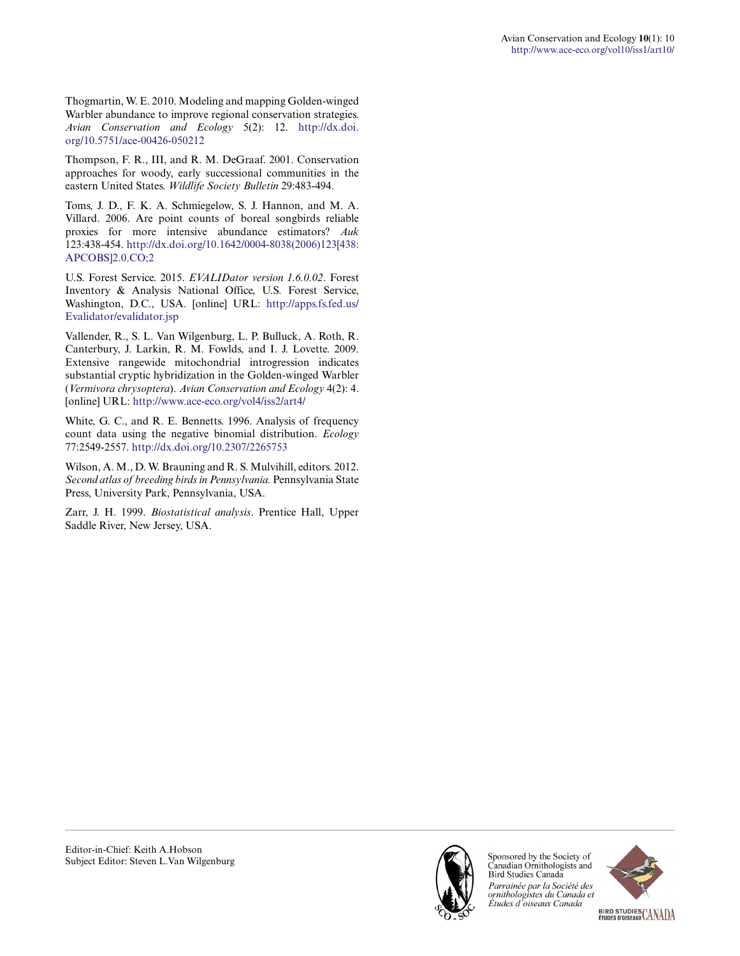Thogmartin, W. E. 2010. Modeling and mapping Golden-winged Warbler abundance to improve regional conservation strategies. *Avian Conservation and Ecology* 5(2): 12. [http://dx.doi.](http://dx.doi.org/10.5751%2Face-00426-050212) [org/10.5751/ace-00426-050212](http://dx.doi.org/10.5751%2Face-00426-050212)

Thompson, F. R., III, and R. M. DeGraaf. 2001. Conservation approaches for woody, early successional communities in the eastern United States. *Wildlife Society Bulletin* 29:483-494.

Toms, J. D., F. K. A. Schmiegelow, S. J. Hannon, and M. A. Villard. 2006. Are point counts of boreal songbirds reliable proxies for more intensive abundance estimators? *Auk* 123:438-454. [http://dx.doi.org/10.1642/0004-8038\(2006\)123\[438:](http://dx.doi.org/10.1642%2F0004-8038%282006%29123%5B438%3AAPCOBS%5D2.0.CO%3B2) [APCOBS\]2.0.CO;2](http://dx.doi.org/10.1642%2F0004-8038%282006%29123%5B438%3AAPCOBS%5D2.0.CO%3B2)

U.S. Forest Service. 2015. *EVALIDator version 1.6.0.02*. Forest Inventory & Analysis National Office, U.S. Forest Service, Washington, D.C., USA. [online] URL: [http://apps.fs.fed.us/](http://apps.fs.fed.us/Evalidator/evalidator.jsp) [Evalidator/evalidator.jsp](http://apps.fs.fed.us/Evalidator/evalidator.jsp) 

Vallender, R., S. L. Van Wilgenburg, L. P. Bulluck, A. Roth, R. Canterbury, J. Larkin, R. M. Fowlds, and I. J. Lovette. 2009. Extensive rangewide mitochondrial introgression indicates substantial cryptic hybridization in the Golden-winged Warbler (*Vermivora chrysoptera*). *Avian Conservation and Ecology* 4(2): 4. [online] URL: <http://www.ace-eco.org/vol4/iss2/art4/>

White, G. C., and R. E. Bennetts. 1996. Analysis of frequency count data using the negative binomial distribution. *Ecology* 77:2549-2557. [http://dx.doi.org/10.2307/2265753](http://dx.doi.org/10.2307%2F2265753) 

Wilson, A. M., D. W. Brauning and R. S. Mulvihill, editors. 2012. *Second atlas of breeding birds in Pennsylvania.* Pennsylvania State Press, University Park, Pennsylvania, USA.

Zarr, J. H. 1999. *Biostatistical analysis*. Prentice Hall, Upper Saddle River, New Jersey, USA.



Sponsored by the Society of Canadian Ornithologists and Bird Studies Canada Parrainée par la Société des ornithologistes du Canada et Études d'oiseaux Canada



BIRD STUDIES CANADA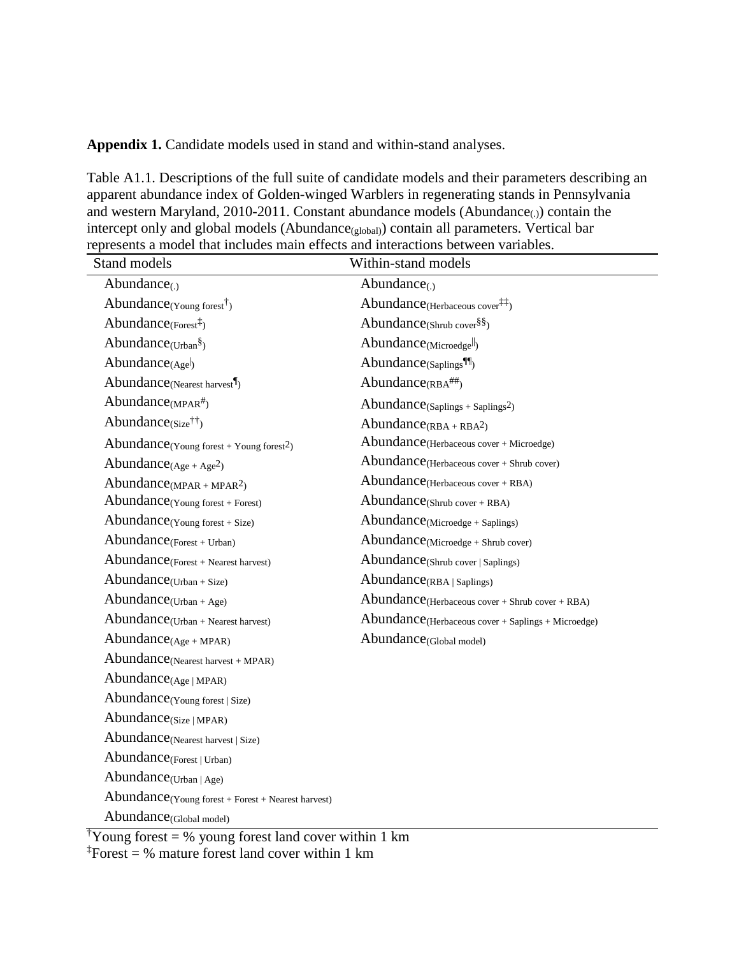Appendix 1. Candidate models used in stand and within-stand analyses.

Table A1.1. Descriptions of the full suite of candidate models and their parameters describing an apparent abundance index of Golden-winged Warblers in regenerating stands in Pennsylvania and western Maryland, 2010-2011. Constant abundance models (Abundance<sub>(.)</sub>) contain the intercept only and global models (Abundance<sub>(global)</sub>) contain all parameters. Vertical bar represents a model that includes main effects and interactions between variables.

| Stand models                                                     | Within-stand models                                         |
|------------------------------------------------------------------|-------------------------------------------------------------|
| Abundance(.)                                                     | $Abundance$ (.)                                             |
| Abundance <sub>(Young forest</sub> <sup>†</sup> )                | Abundance <sub>(Herbaceous cover</sub> ##)                  |
| Abundance (Forest <sup>‡</sup> )                                 | Abundance(Shrub cover <sup>§§</sup> )                       |
| Abundance( $Urban$ §)                                            | $\text{Abundance}_{(\text{Microedge}}  )$                   |
| $Abundance_{(Age)}$                                              | Abundance $(s_{\text{aplings}}$ <sup>[1]</sup>              |
| Abundance <sub>(Nearest harvest</sub> <sup>1</sup> )             | Abundance $(RBA^{\# \#})$                                   |
| Abundance $(MPAR^{\#})$                                          | $Abundance$ (Saplings + Saplings <sup>2</sup> )             |
| Abundance $(size^{\dagger\dagger})$                              | $Abundance$ <sub>(RBA + RBA<sup>2</sup>)</sub>              |
| $Abundance(Young forest + Young forest2)$                        | Abundance(Herbaceous cover + Microedge)                     |
| Abundance <sub>(Age + Age<sup>2</sup>)</sub>                     | Abundance <sub>(Herbaceous</sub> cover + Shrub cover)       |
| $Abundance_{(MPAR + MPAR^2)}$                                    | Abundance(Herbaceous cover + RBA)                           |
| $\rm Abundance$ (Young forest + Forest)                          | Abundance <sub>(Shrub cover+RBA)</sub>                      |
| $Abundance(Young forest + Size)$                                 | Abundance <sub>(Microedge + Saplings)</sub>                 |
| $Abundance$ (Forest + Urban)                                     | Abundance(Microedge + Shrub cover)                          |
| $Abundance$ (Forest + Nearest harvest)                           | Abundance(Shrub cover   Saplings)                           |
| $\begin{aligned} Abundance_{(Urban \; + \; Size)} \end{aligned}$ | Abundance(RBA   Saplings)                                   |
| $Abundance_{(Urban + Age)}$                                      | Abundance <sub>(Herbaceous</sub> cover + Shrub cover + RBA) |
| Abundance(Urban + Nearest harvest)                               | Abundance(Herbaceous cover + Saplings + Microedge)          |
| $Abundance_{(Age + MPAR)}$                                       | Abundance <sub>(Global model)</sub>                         |
| Abundance <sub>(Nearest harvest + MPAR)</sub>                    |                                                             |
| $Abundance_{(Age MPAR)}$                                         |                                                             |
| Abundance <sub>(Young forest   Size)</sub>                       |                                                             |
| Abundance(Size   MPAR)                                           |                                                             |
| Abundance(Nearest harvest   Size)                                |                                                             |
| Abundance <sub>(Forest   Urban)</sub>                            |                                                             |
| $\begin{array}{c} Abundance_{(Urban \;   \; Age)} \end{array}$   |                                                             |
| $Abundance(Young forest + Forest + Nearest \text{ harvest})$     |                                                             |
| Abundance <sub>(Global model)</sub>                              |                                                             |

† Young forest = % young forest land cover within 1 km ‡ Forest = % mature forest land cover within 1 km